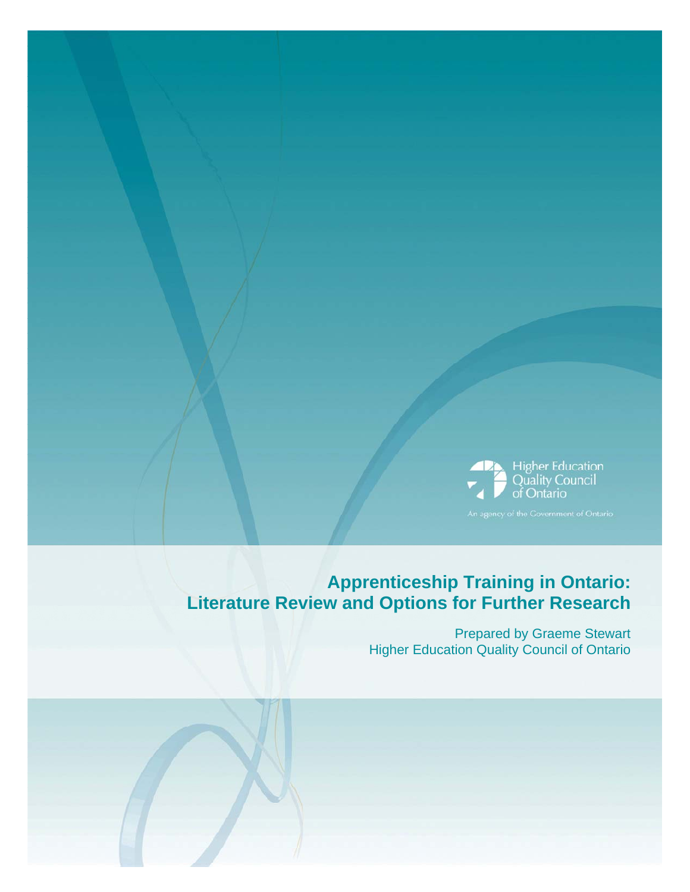

# **Apprenticeship Training in Ontario: Literature Review and Options for Further Research**

Prepared by Graeme Stewart Higher Education Quality Council of Ontario

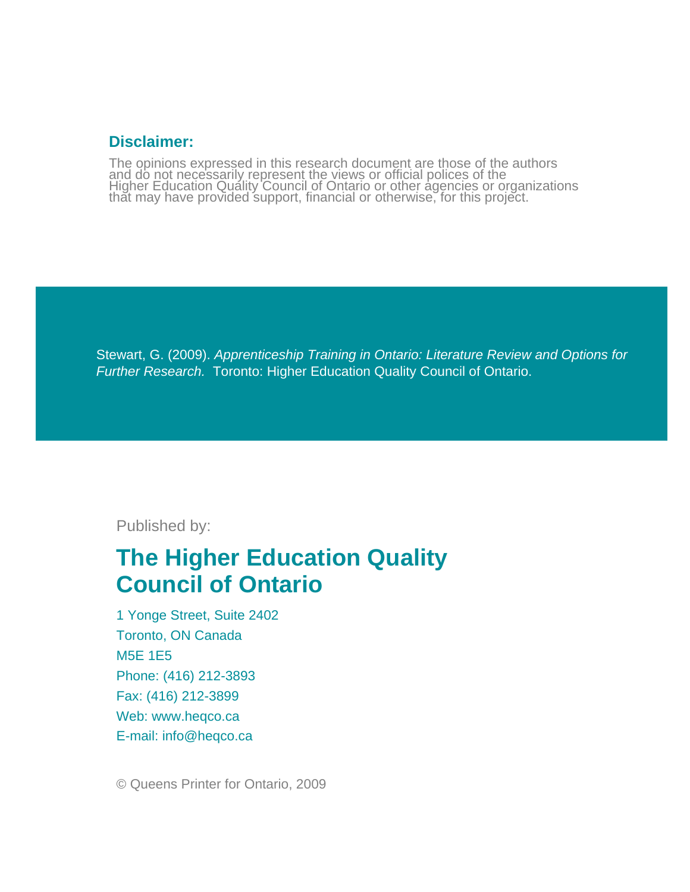# **Disclaimer:**

The opinions expressed in this research document are those of the authors and do not necessarily represent the views or official polices of the<br>Higher Education Quality Council of Ontario or other agencies or organizations<br>that may have provided support, financial or otherwise, for this project.

Stewart, G. (2009). *Apprenticeship Training in Ontario: Literature Review and Options for Further Research.* Toronto: Higher Education Quality Council of Ontario.

Published by:

# **The Higher Education Quality Council of Ontario**

1 Yonge Street, Suite 2402 Toronto, ON Canada M5E 1E5 Phone: (416) 212-3893 Fax: (416) 212-3899 Web: www.heqco.ca E-mail: info@heqco.ca

© Queens Printer for Ontario, 2009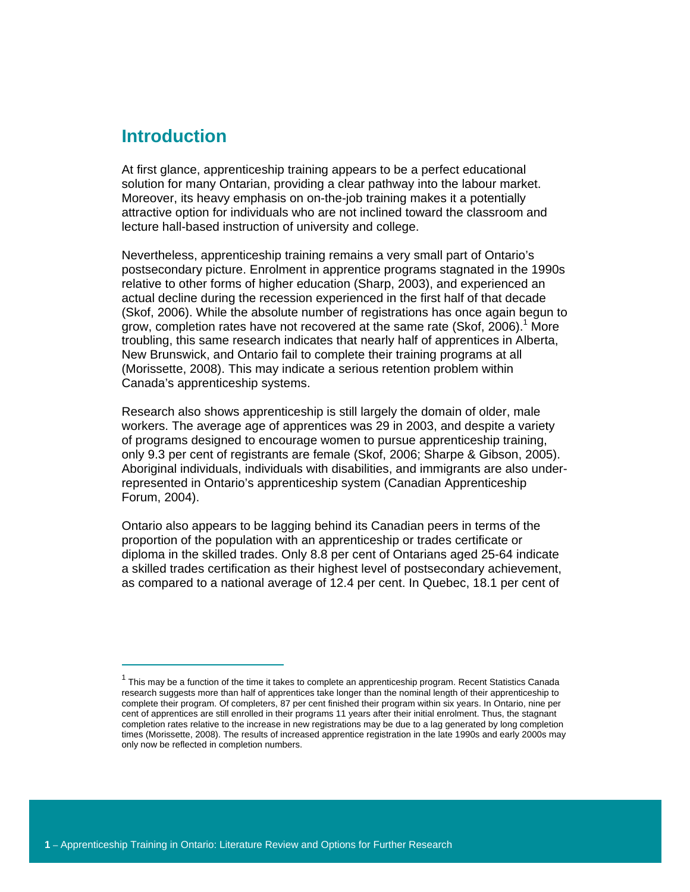# **Introduction**

 $\overline{a}$ 

At first glance, apprenticeship training appears to be a perfect educational solution for many Ontarian, providing a clear pathway into the labour market. Moreover, its heavy emphasis on on-the-job training makes it a potentially attractive option for individuals who are not inclined toward the classroom and lecture hall-based instruction of university and college.

Nevertheless, apprenticeship training remains a very small part of Ontario's postsecondary picture. Enrolment in apprentice programs stagnated in the 1990s relative to other forms of higher education (Sharp, 2003), and experienced an actual decline during the recession experienced in the first half of that decade (Skof, 2006). While the absolute number of registrations has once again begun to grow, completion rates have not recovered at the same rate (Skof, 2006).<sup>1</sup> More troubling, this same research indicates that nearly half of apprentices in Alberta, New Brunswick, and Ontario fail to complete their training programs at all (Morissette, 2008). This may indicate a serious retention problem within Canada's apprenticeship systems.

Research also shows apprenticeship is still largely the domain of older, male workers. The average age of apprentices was 29 in 2003, and despite a variety of programs designed to encourage women to pursue apprenticeship training, only 9.3 per cent of registrants are female (Skof, 2006; Sharpe & Gibson, 2005). Aboriginal individuals, individuals with disabilities, and immigrants are also underrepresented in Ontario's apprenticeship system (Canadian Apprenticeship Forum, 2004).

Ontario also appears to be lagging behind its Canadian peers in terms of the proportion of the population with an apprenticeship or trades certificate or diploma in the skilled trades. Only 8.8 per cent of Ontarians aged 25-64 indicate a skilled trades certification as their highest level of postsecondary achievement, as compared to a national average of 12.4 per cent. In Quebec, 18.1 per cent of

<sup>&</sup>lt;sup>1</sup> This may be a function of the time it takes to complete an apprenticeship program. Recent Statistics Canada research suggests more than half of apprentices take longer than the nominal length of their apprenticeship to complete their program. Of completers, 87 per cent finished their program within six years. In Ontario, nine per cent of apprentices are still enrolled in their programs 11 years after their initial enrolment. Thus, the stagnant completion rates relative to the increase in new registrations may be due to a lag generated by long completion times (Morissette, 2008). The results of increased apprentice registration in the late 1990s and early 2000s may only now be reflected in completion numbers.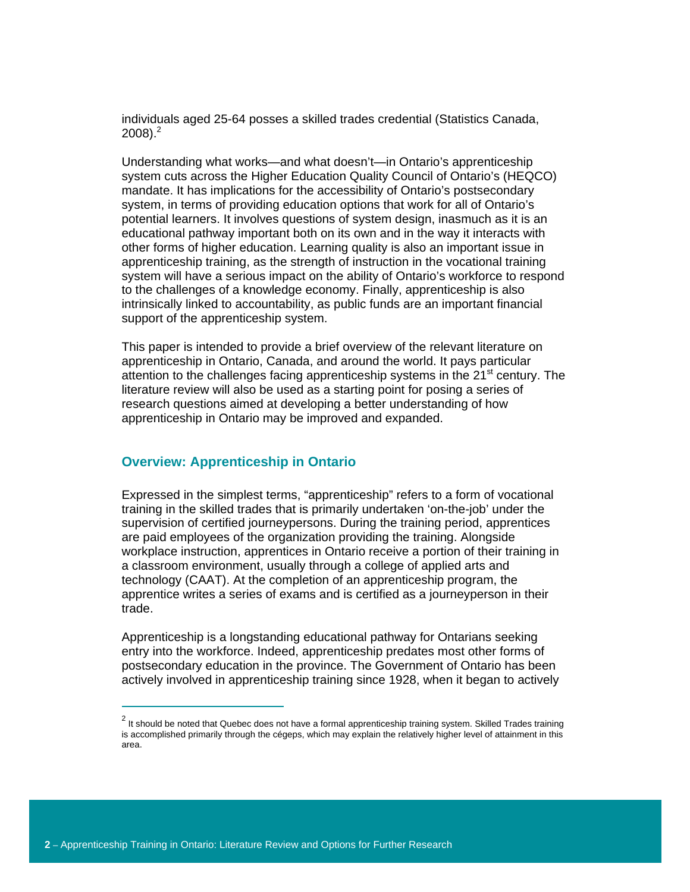individuals aged 25-64 posses a skilled trades credential (Statistics Canada,  $2008$ ). $^{2}$ 

Understanding what works—and what doesn't—in Ontario's apprenticeship system cuts across the Higher Education Quality Council of Ontario's (HEQCO) mandate. It has implications for the accessibility of Ontario's postsecondary system, in terms of providing education options that work for all of Ontario's potential learners. It involves questions of system design, inasmuch as it is an educational pathway important both on its own and in the way it interacts with other forms of higher education. Learning quality is also an important issue in apprenticeship training, as the strength of instruction in the vocational training system will have a serious impact on the ability of Ontario's workforce to respond to the challenges of a knowledge economy. Finally, apprenticeship is also intrinsically linked to accountability, as public funds are an important financial support of the apprenticeship system.

This paper is intended to provide a brief overview of the relevant literature on apprenticeship in Ontario, Canada, and around the world. It pays particular attention to the challenges facing apprenticeship systems in the  $21<sup>st</sup>$  century. The literature review will also be used as a starting point for posing a series of research questions aimed at developing a better understanding of how apprenticeship in Ontario may be improved and expanded.

#### **Overview: Apprenticeship in Ontario**

Expressed in the simplest terms, "apprenticeship" refers to a form of vocational training in the skilled trades that is primarily undertaken 'on-the-job' under the supervision of certified journeypersons. During the training period, apprentices are paid employees of the organization providing the training. Alongside workplace instruction, apprentices in Ontario receive a portion of their training in a classroom environment, usually through a college of applied arts and technology (CAAT). At the completion of an apprenticeship program, the apprentice writes a series of exams and is certified as a journeyperson in their trade.

Apprenticeship is a longstanding educational pathway for Ontarians seeking entry into the workforce. Indeed, apprenticeship predates most other forms of postsecondary education in the province. The Government of Ontario has been actively involved in apprenticeship training since 1928, when it began to actively

 $\overline{a}$ 

 $^2$  It should be noted that Quebec does not have a formal apprenticeship training system. Skilled Trades training is accomplished primarily through the cégeps, which may explain the relatively higher level of attainment in this area.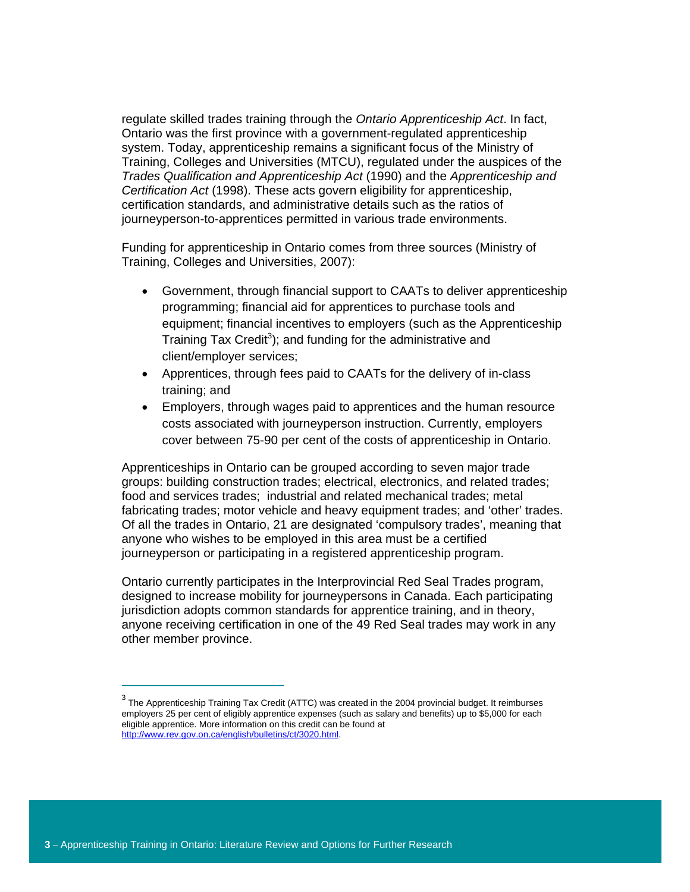regulate skilled trades training through the *Ontario Apprenticeship Act*. In fact, Ontario was the first province with a government-regulated apprenticeship system. Today, apprenticeship remains a significant focus of the Ministry of Training, Colleges and Universities (MTCU), regulated under the auspices of the *Trades Qualification and Apprenticeship Act* (1990) and the *Apprenticeship and Certification Act* (1998). These acts govern eligibility for apprenticeship, certification standards, and administrative details such as the ratios of journeyperson-to-apprentices permitted in various trade environments.

Funding for apprenticeship in Ontario comes from three sources (Ministry of Training, Colleges and Universities, 2007):

- Government, through financial support to CAATs to deliver apprenticeship programming; financial aid for apprentices to purchase tools and equipment; financial incentives to employers (such as the Apprenticeship Training Tax Credit<sup>3</sup>); and funding for the administrative and client/employer services;
- Apprentices, through fees paid to CAATs for the delivery of in-class training; and
- Employers, through wages paid to apprentices and the human resource costs associated with journeyperson instruction. Currently, employers cover between 75-90 per cent of the costs of apprenticeship in Ontario.

Apprenticeships in Ontario can be grouped according to seven major trade groups: building construction trades; electrical, electronics, and related trades; food and services trades; industrial and related mechanical trades; metal fabricating trades; motor vehicle and heavy equipment trades; and 'other' trades. Of all the trades in Ontario, 21 are designated 'compulsory trades', meaning that anyone who wishes to be employed in this area must be a certified journeyperson or participating in a registered apprenticeship program.

Ontario currently participates in the Interprovincial Red Seal Trades program, designed to increase mobility for journeypersons in Canada. Each participating jurisdiction adopts common standards for apprentice training, and in theory, anyone receiving certification in one of the 49 Red Seal trades may work in any other member province.

 $\overline{a}$ 

 $^3$  The Apprenticeship Training Tax Credit (ATTC) was created in the 2004 provincial budget. It reimburses employers 25 per cent of eligibly apprentice expenses (such as salary and benefits) up to \$5,000 for each eligible apprentice. More information on this credit can be found at http://www.rev.gov.on.ca/english/bulletins/ct/3020.html.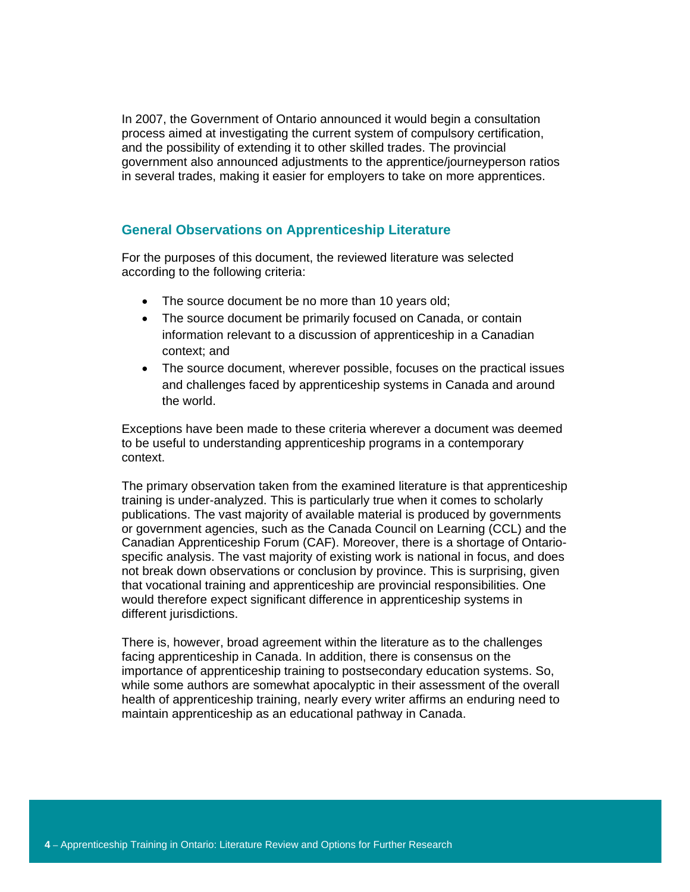In 2007, the Government of Ontario announced it would begin a consultation process aimed at investigating the current system of compulsory certification, and the possibility of extending it to other skilled trades. The provincial government also announced adjustments to the apprentice/journeyperson ratios in several trades, making it easier for employers to take on more apprentices.

# **General Observations on Apprenticeship Literature**

For the purposes of this document, the reviewed literature was selected according to the following criteria:

- The source document be no more than 10 years old;
- The source document be primarily focused on Canada, or contain information relevant to a discussion of apprenticeship in a Canadian context; and
- The source document, wherever possible, focuses on the practical issues and challenges faced by apprenticeship systems in Canada and around the world.

Exceptions have been made to these criteria wherever a document was deemed to be useful to understanding apprenticeship programs in a contemporary context.

The primary observation taken from the examined literature is that apprenticeship training is under-analyzed. This is particularly true when it comes to scholarly publications. The vast majority of available material is produced by governments or government agencies, such as the Canada Council on Learning (CCL) and the Canadian Apprenticeship Forum (CAF). Moreover, there is a shortage of Ontariospecific analysis. The vast majority of existing work is national in focus, and does not break down observations or conclusion by province. This is surprising, given that vocational training and apprenticeship are provincial responsibilities. One would therefore expect significant difference in apprenticeship systems in different jurisdictions.

There is, however, broad agreement within the literature as to the challenges facing apprenticeship in Canada. In addition, there is consensus on the importance of apprenticeship training to postsecondary education systems. So, while some authors are somewhat apocalyptic in their assessment of the overall health of apprenticeship training, nearly every writer affirms an enduring need to maintain apprenticeship as an educational pathway in Canada.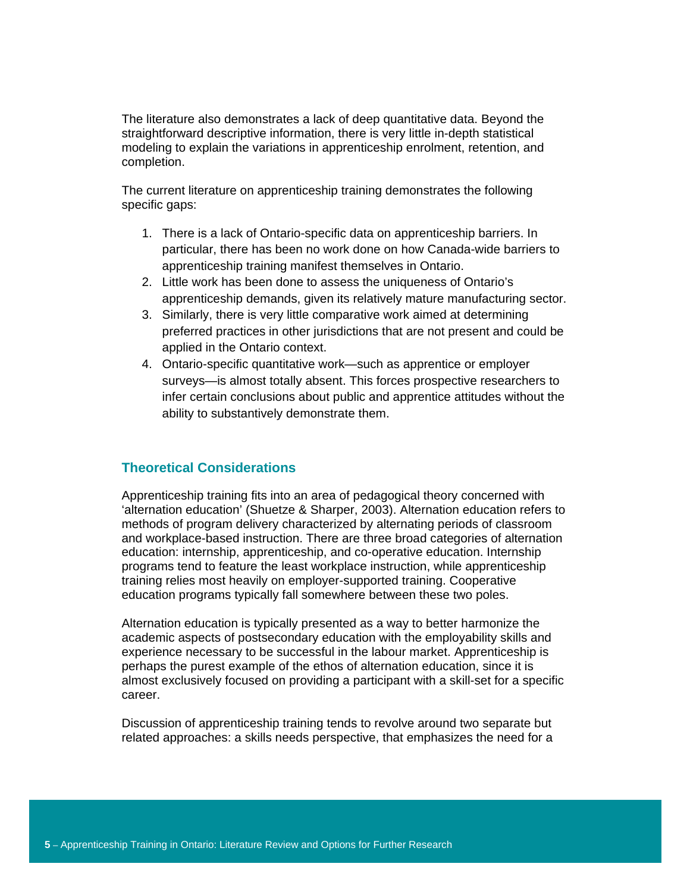The literature also demonstrates a lack of deep quantitative data. Beyond the straightforward descriptive information, there is very little in-depth statistical modeling to explain the variations in apprenticeship enrolment, retention, and completion.

The current literature on apprenticeship training demonstrates the following specific gaps:

- 1. There is a lack of Ontario-specific data on apprenticeship barriers. In particular, there has been no work done on how Canada-wide barriers to apprenticeship training manifest themselves in Ontario.
- 2. Little work has been done to assess the uniqueness of Ontario's apprenticeship demands, given its relatively mature manufacturing sector.
- 3. Similarly, there is very little comparative work aimed at determining preferred practices in other jurisdictions that are not present and could be applied in the Ontario context.
- 4. Ontario-specific quantitative work—such as apprentice or employer surveys—is almost totally absent. This forces prospective researchers to infer certain conclusions about public and apprentice attitudes without the ability to substantively demonstrate them.

#### **Theoretical Considerations**

Apprenticeship training fits into an area of pedagogical theory concerned with 'alternation education' (Shuetze & Sharper, 2003). Alternation education refers to methods of program delivery characterized by alternating periods of classroom and workplace-based instruction. There are three broad categories of alternation education: internship, apprenticeship, and co-operative education. Internship programs tend to feature the least workplace instruction, while apprenticeship training relies most heavily on employer-supported training. Cooperative education programs typically fall somewhere between these two poles.

Alternation education is typically presented as a way to better harmonize the academic aspects of postsecondary education with the employability skills and experience necessary to be successful in the labour market. Apprenticeship is perhaps the purest example of the ethos of alternation education, since it is almost exclusively focused on providing a participant with a skill-set for a specific career.

Discussion of apprenticeship training tends to revolve around two separate but related approaches: a skills needs perspective, that emphasizes the need for a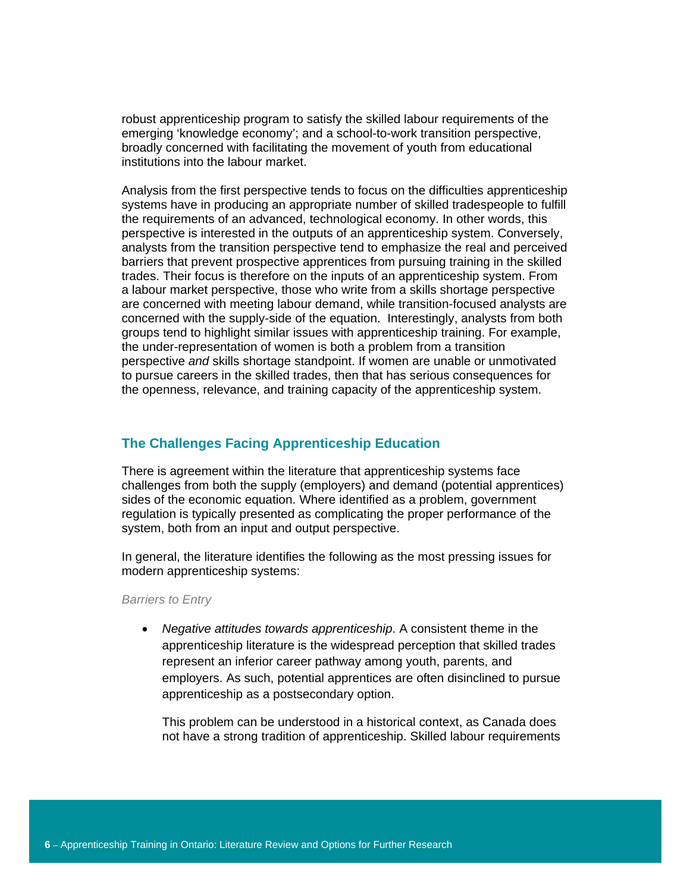robust apprenticeship program to satisfy the skilled labour requirements of the emerging 'knowledge economy'; and a school-to-work transition perspective, broadly concerned with facilitating the movement of youth from educational institutions into the labour market.

Analysis from the first perspective tends to focus on the difficulties apprenticeship systems have in producing an appropriate number of skilled tradespeople to fulfill the requirements of an advanced, technological economy. In other words, this perspective is interested in the outputs of an apprenticeship system. Conversely, analysts from the transition perspective tend to emphasize the real and perceived barriers that prevent prospective apprentices from pursuing training in the skilled trades. Their focus is therefore on the inputs of an apprenticeship system. From a labour market perspective, those who write from a skills shortage perspective are concerned with meeting labour demand, while transition-focused analysts are concerned with the supply-side of the equation. Interestingly, analysts from both groups tend to highlight similar issues with apprenticeship training. For example, the under-representation of women is both a problem from a transition perspective *and* skills shortage standpoint. If women are unable or unmotivated to pursue careers in the skilled trades, then that has serious consequences for the openness, relevance, and training capacity of the apprenticeship system.

#### **The Challenges Facing Apprenticeship Education**

There is agreement within the literature that apprenticeship systems face challenges from both the supply (employers) and demand (potential apprentices) sides of the economic equation. Where identified as a problem, government regulation is typically presented as complicating the proper performance of the system, both from an input and output perspective.

In general, the literature identifies the following as the most pressing issues for modern apprenticeship systems:

*Barriers to Entry* 

• *Negative attitudes towards apprenticeship*. A consistent theme in the apprenticeship literature is the widespread perception that skilled trades represent an inferior career pathway among youth, parents, and employers. As such, potential apprentices are often disinclined to pursue apprenticeship as a postsecondary option.

This problem can be understood in a historical context, as Canada does not have a strong tradition of apprenticeship. Skilled labour requirements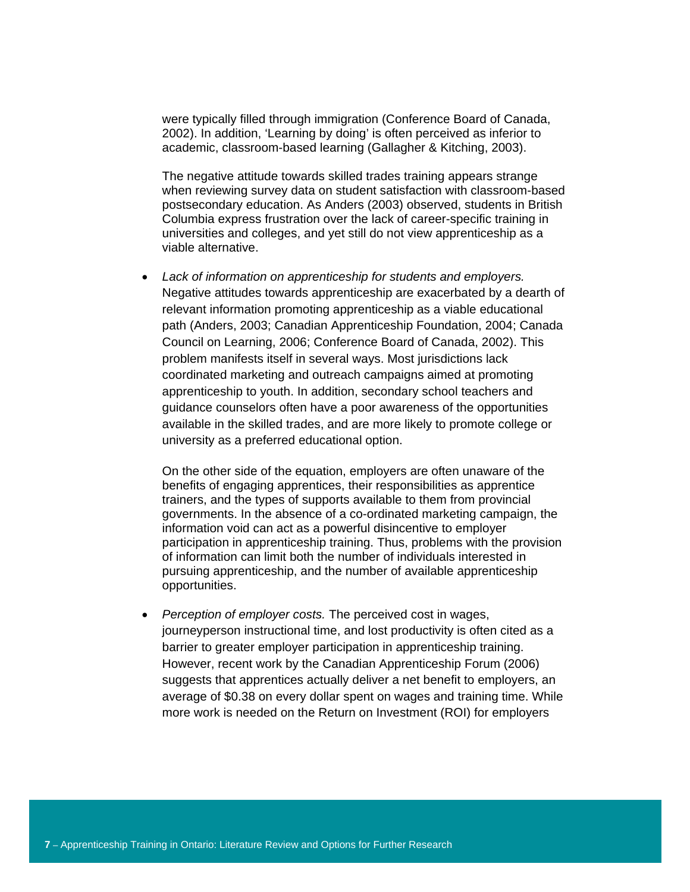were typically filled through immigration (Conference Board of Canada, 2002). In addition, 'Learning by doing' is often perceived as inferior to academic, classroom-based learning (Gallagher & Kitching, 2003).

The negative attitude towards skilled trades training appears strange when reviewing survey data on student satisfaction with classroom-based postsecondary education. As Anders (2003) observed, students in British Columbia express frustration over the lack of career-specific training in universities and colleges, and yet still do not view apprenticeship as a viable alternative.

• *Lack of information on apprenticeship for students and employers.*  Negative attitudes towards apprenticeship are exacerbated by a dearth of relevant information promoting apprenticeship as a viable educational path (Anders, 2003; Canadian Apprenticeship Foundation, 2004; Canada Council on Learning, 2006; Conference Board of Canada, 2002). This problem manifests itself in several ways. Most jurisdictions lack coordinated marketing and outreach campaigns aimed at promoting apprenticeship to youth. In addition, secondary school teachers and guidance counselors often have a poor awareness of the opportunities available in the skilled trades, and are more likely to promote college or university as a preferred educational option.

On the other side of the equation, employers are often unaware of the benefits of engaging apprentices, their responsibilities as apprentice trainers, and the types of supports available to them from provincial governments. In the absence of a co-ordinated marketing campaign, the information void can act as a powerful disincentive to employer participation in apprenticeship training. Thus, problems with the provision of information can limit both the number of individuals interested in pursuing apprenticeship, and the number of available apprenticeship opportunities.

• *Perception of employer costs.* The perceived cost in wages, journeyperson instructional time, and lost productivity is often cited as a barrier to greater employer participation in apprenticeship training. However, recent work by the Canadian Apprenticeship Forum (2006) suggests that apprentices actually deliver a net benefit to employers, an average of \$0.38 on every dollar spent on wages and training time. While more work is needed on the Return on Investment (ROI) for employers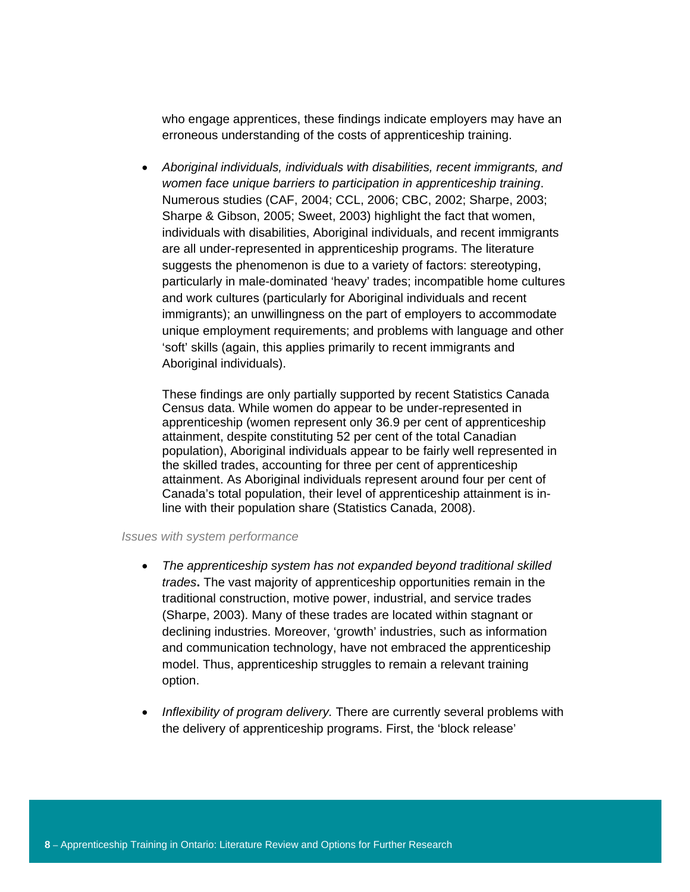who engage apprentices, these findings indicate employers may have an erroneous understanding of the costs of apprenticeship training.

• *Aboriginal individuals, individuals with disabilities, recent immigrants, and women face unique barriers to participation in apprenticeship training*. Numerous studies (CAF, 2004; CCL, 2006; CBC, 2002; Sharpe, 2003; Sharpe & Gibson, 2005; Sweet, 2003) highlight the fact that women, individuals with disabilities, Aboriginal individuals, and recent immigrants are all under-represented in apprenticeship programs. The literature suggests the phenomenon is due to a variety of factors: stereotyping, particularly in male-dominated 'heavy' trades; incompatible home cultures and work cultures (particularly for Aboriginal individuals and recent immigrants); an unwillingness on the part of employers to accommodate unique employment requirements; and problems with language and other 'soft' skills (again, this applies primarily to recent immigrants and Aboriginal individuals).

These findings are only partially supported by recent Statistics Canada Census data. While women do appear to be under-represented in apprenticeship (women represent only 36.9 per cent of apprenticeship attainment, despite constituting 52 per cent of the total Canadian population), Aboriginal individuals appear to be fairly well represented in the skilled trades, accounting for three per cent of apprenticeship attainment. As Aboriginal individuals represent around four per cent of Canada's total population, their level of apprenticeship attainment is inline with their population share (Statistics Canada, 2008).

#### *Issues with system performance*

- *The apprenticeship system has not expanded beyond traditional skilled trades***.** The vast majority of apprenticeship opportunities remain in the traditional construction, motive power, industrial, and service trades (Sharpe, 2003). Many of these trades are located within stagnant or declining industries. Moreover, 'growth' industries, such as information and communication technology, have not embraced the apprenticeship model. Thus, apprenticeship struggles to remain a relevant training option.
- *Inflexibility of program delivery.* There are currently several problems with the delivery of apprenticeship programs. First, the 'block release'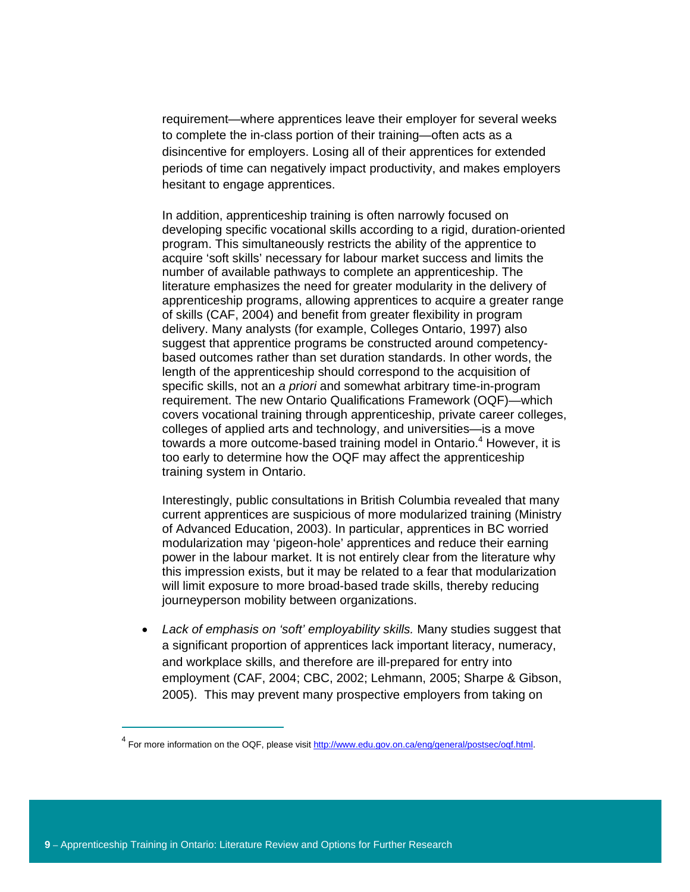requirement—where apprentices leave their employer for several weeks to complete the in-class portion of their training—often acts as a disincentive for employers. Losing all of their apprentices for extended periods of time can negatively impact productivity, and makes employers hesitant to engage apprentices.

In addition, apprenticeship training is often narrowly focused on developing specific vocational skills according to a rigid, duration-oriented program. This simultaneously restricts the ability of the apprentice to acquire 'soft skills' necessary for labour market success and limits the number of available pathways to complete an apprenticeship. The literature emphasizes the need for greater modularity in the delivery of apprenticeship programs, allowing apprentices to acquire a greater range of skills (CAF, 2004) and benefit from greater flexibility in program delivery. Many analysts (for example, Colleges Ontario, 1997) also suggest that apprentice programs be constructed around competencybased outcomes rather than set duration standards. In other words, the length of the apprenticeship should correspond to the acquisition of specific skills, not an *a priori* and somewhat arbitrary time-in-program requirement. The new Ontario Qualifications Framework (OQF)—which covers vocational training through apprenticeship, private career colleges, colleges of applied arts and technology, and universities—is a move towards a more outcome-based training model in Ontario.<sup>4</sup> However, it is too early to determine how the OQF may affect the apprenticeship training system in Ontario.

Interestingly, public consultations in British Columbia revealed that many current apprentices are suspicious of more modularized training (Ministry of Advanced Education, 2003). In particular, apprentices in BC worried modularization may 'pigeon-hole' apprentices and reduce their earning power in the labour market. It is not entirely clear from the literature why this impression exists, but it may be related to a fear that modularization will limit exposure to more broad-based trade skills, thereby reducing journeyperson mobility between organizations.

• *Lack of emphasis on 'soft' employability skills.* Many studies suggest that a significant proportion of apprentices lack important literacy, numeracy, and workplace skills, and therefore are ill-prepared for entry into employment (CAF, 2004; CBC, 2002; Lehmann, 2005; Sharpe & Gibson, 2005). This may prevent many prospective employers from taking on

 $\overline{a}$ 

<sup>&</sup>lt;sup>4</sup> For more information on the OQF, please visit http://www.edu.gov.on.ca/eng/general/postsec/oqf.html.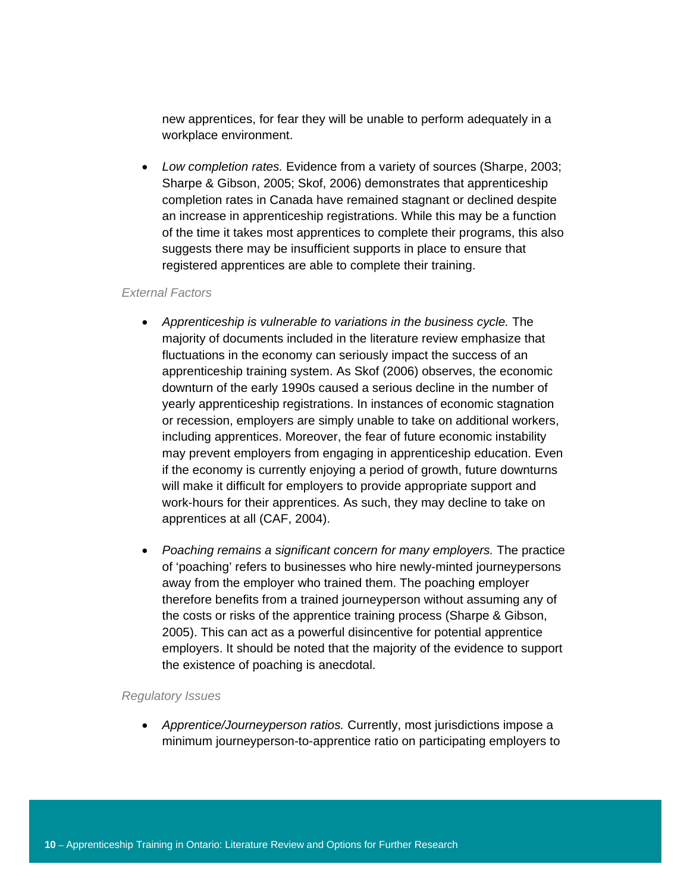new apprentices, for fear they will be unable to perform adequately in a workplace environment.

• *Low completion rates.* Evidence from a variety of sources (Sharpe, 2003; Sharpe & Gibson, 2005; Skof, 2006) demonstrates that apprenticeship completion rates in Canada have remained stagnant or declined despite an increase in apprenticeship registrations. While this may be a function of the time it takes most apprentices to complete their programs, this also suggests there may be insufficient supports in place to ensure that registered apprentices are able to complete their training.

#### *External Factors*

- *Apprenticeship is vulnerable to variations in the business cycle.* The majority of documents included in the literature review emphasize that fluctuations in the economy can seriously impact the success of an apprenticeship training system. As Skof (2006) observes, the economic downturn of the early 1990s caused a serious decline in the number of yearly apprenticeship registrations. In instances of economic stagnation or recession, employers are simply unable to take on additional workers, including apprentices. Moreover, the fear of future economic instability may prevent employers from engaging in apprenticeship education. Even if the economy is currently enjoying a period of growth, future downturns will make it difficult for employers to provide appropriate support and work-hours for their apprentices. As such, they may decline to take on apprentices at all (CAF, 2004).
- *Poaching remains a significant concern for many employers.* The practice of 'poaching' refers to businesses who hire newly-minted journeypersons away from the employer who trained them. The poaching employer therefore benefits from a trained journeyperson without assuming any of the costs or risks of the apprentice training process (Sharpe & Gibson, 2005). This can act as a powerful disincentive for potential apprentice employers. It should be noted that the majority of the evidence to support the existence of poaching is anecdotal.

#### *Regulatory Issues*

• *Apprentice/Journeyperson ratios.* Currently, most jurisdictions impose a minimum journeyperson-to-apprentice ratio on participating employers to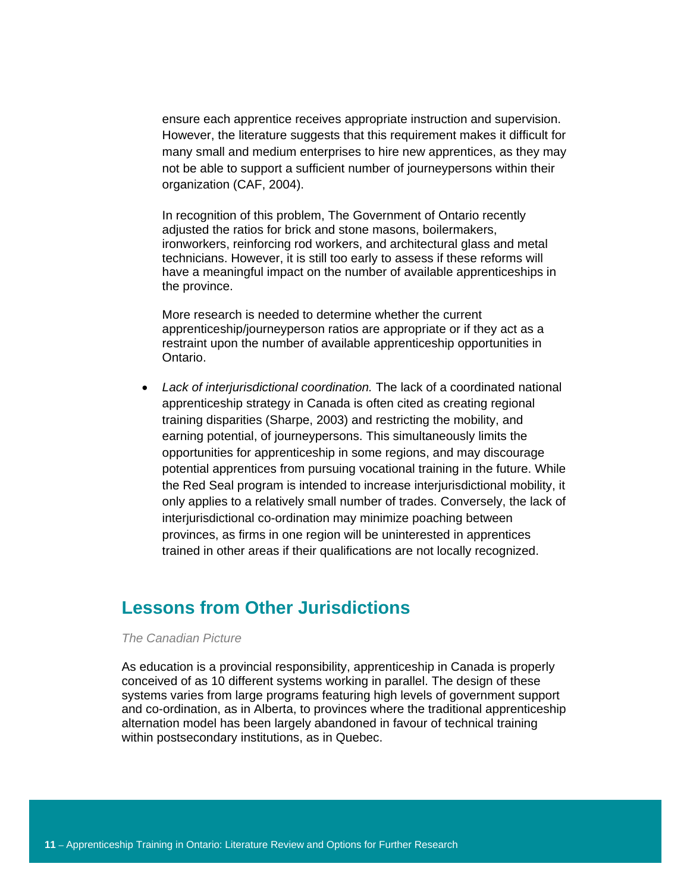ensure each apprentice receives appropriate instruction and supervision. However, the literature suggests that this requirement makes it difficult for many small and medium enterprises to hire new apprentices, as they may not be able to support a sufficient number of journeypersons within their organization (CAF, 2004).

In recognition of this problem, The Government of Ontario recently adjusted the ratios for brick and stone masons, boilermakers, ironworkers, reinforcing rod workers, and architectural glass and metal technicians. However, it is still too early to assess if these reforms will have a meaningful impact on the number of available apprenticeships in the province.

More research is needed to determine whether the current apprenticeship/journeyperson ratios are appropriate or if they act as a restraint upon the number of available apprenticeship opportunities in Ontario.

• *Lack of interjurisdictional coordination.* The lack of a coordinated national apprenticeship strategy in Canada is often cited as creating regional training disparities (Sharpe, 2003) and restricting the mobility, and earning potential, of journeypersons. This simultaneously limits the opportunities for apprenticeship in some regions, and may discourage potential apprentices from pursuing vocational training in the future. While the Red Seal program is intended to increase interjurisdictional mobility, it only applies to a relatively small number of trades. Conversely, the lack of interjurisdictional co-ordination may minimize poaching between provinces, as firms in one region will be uninterested in apprentices trained in other areas if their qualifications are not locally recognized.

# **Lessons from Other Jurisdictions**

#### *The Canadian Picture*

As education is a provincial responsibility, apprenticeship in Canada is properly conceived of as 10 different systems working in parallel. The design of these systems varies from large programs featuring high levels of government support and co-ordination, as in Alberta, to provinces where the traditional apprenticeship alternation model has been largely abandoned in favour of technical training within postsecondary institutions, as in Quebec.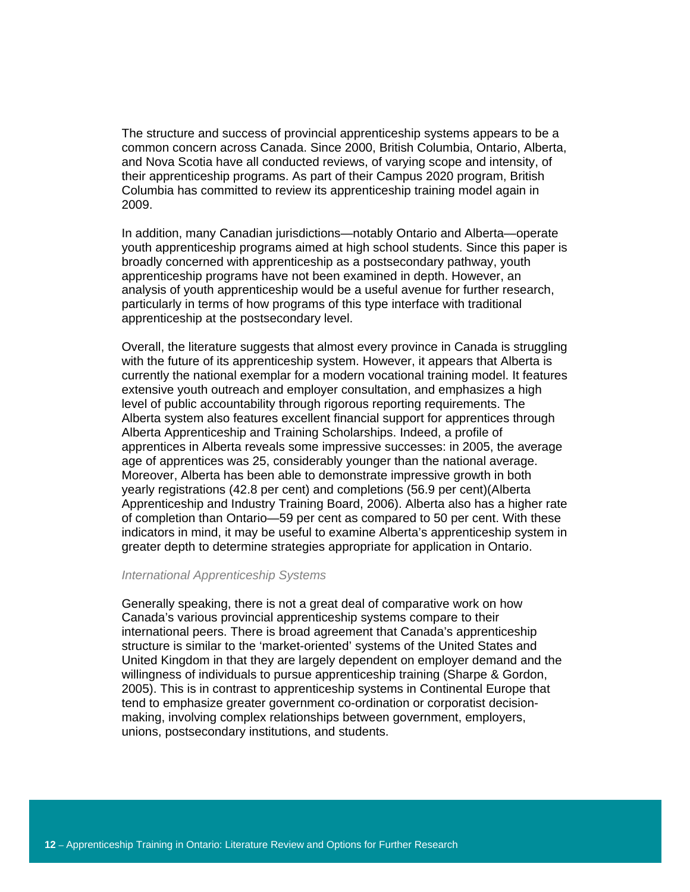The structure and success of provincial apprenticeship systems appears to be a common concern across Canada. Since 2000, British Columbia, Ontario, Alberta, and Nova Scotia have all conducted reviews, of varying scope and intensity, of their apprenticeship programs. As part of their Campus 2020 program, British Columbia has committed to review its apprenticeship training model again in 2009.

In addition, many Canadian jurisdictions—notably Ontario and Alberta—operate youth apprenticeship programs aimed at high school students. Since this paper is broadly concerned with apprenticeship as a postsecondary pathway, youth apprenticeship programs have not been examined in depth. However, an analysis of youth apprenticeship would be a useful avenue for further research, particularly in terms of how programs of this type interface with traditional apprenticeship at the postsecondary level.

Overall, the literature suggests that almost every province in Canada is struggling with the future of its apprenticeship system. However, it appears that Alberta is currently the national exemplar for a modern vocational training model. It features extensive youth outreach and employer consultation, and emphasizes a high level of public accountability through rigorous reporting requirements. The Alberta system also features excellent financial support for apprentices through Alberta Apprenticeship and Training Scholarships. Indeed, a profile of apprentices in Alberta reveals some impressive successes: in 2005, the average age of apprentices was 25, considerably younger than the national average. Moreover, Alberta has been able to demonstrate impressive growth in both yearly registrations (42.8 per cent) and completions (56.9 per cent)(Alberta Apprenticeship and Industry Training Board, 2006). Alberta also has a higher rate of completion than Ontario—59 per cent as compared to 50 per cent. With these indicators in mind, it may be useful to examine Alberta's apprenticeship system in greater depth to determine strategies appropriate for application in Ontario.

#### *International Apprenticeship Systems*

Generally speaking, there is not a great deal of comparative work on how Canada's various provincial apprenticeship systems compare to their international peers. There is broad agreement that Canada's apprenticeship structure is similar to the 'market-oriented' systems of the United States and United Kingdom in that they are largely dependent on employer demand and the willingness of individuals to pursue apprenticeship training (Sharpe & Gordon, 2005). This is in contrast to apprenticeship systems in Continental Europe that tend to emphasize greater government co-ordination or corporatist decisionmaking, involving complex relationships between government, employers, unions, postsecondary institutions, and students.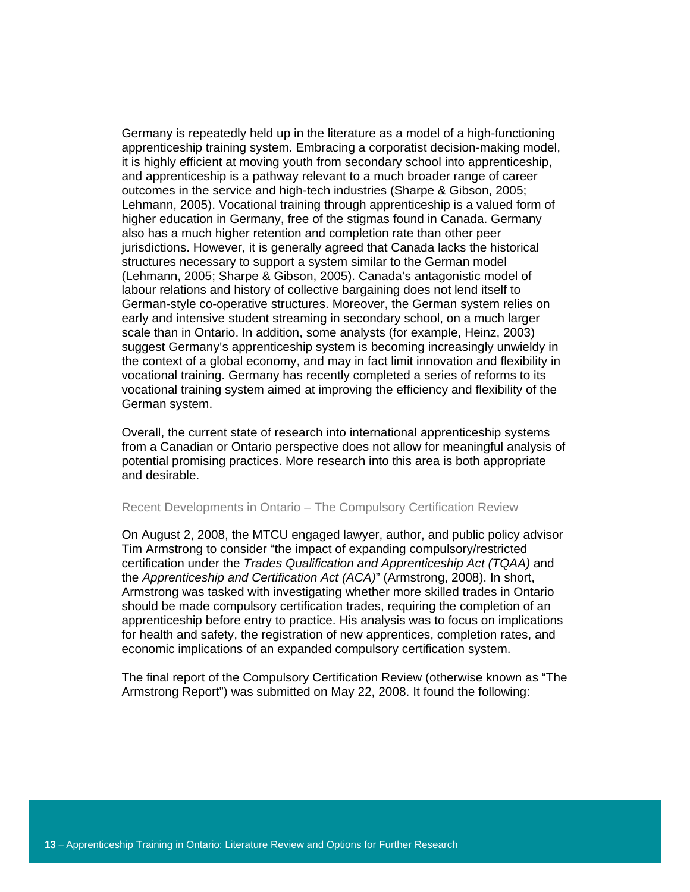Germany is repeatedly held up in the literature as a model of a high-functioning apprenticeship training system. Embracing a corporatist decision-making model, it is highly efficient at moving youth from secondary school into apprenticeship, and apprenticeship is a pathway relevant to a much broader range of career outcomes in the service and high-tech industries (Sharpe & Gibson, 2005; Lehmann, 2005). Vocational training through apprenticeship is a valued form of higher education in Germany, free of the stigmas found in Canada. Germany also has a much higher retention and completion rate than other peer jurisdictions. However, it is generally agreed that Canada lacks the historical structures necessary to support a system similar to the German model (Lehmann, 2005; Sharpe & Gibson, 2005). Canada's antagonistic model of labour relations and history of collective bargaining does not lend itself to German-style co-operative structures. Moreover, the German system relies on early and intensive student streaming in secondary school, on a much larger scale than in Ontario. In addition, some analysts (for example, Heinz, 2003) suggest Germany's apprenticeship system is becoming increasingly unwieldy in the context of a global economy, and may in fact limit innovation and flexibility in vocational training. Germany has recently completed a series of reforms to its vocational training system aimed at improving the efficiency and flexibility of the German system.

Overall, the current state of research into international apprenticeship systems from a Canadian or Ontario perspective does not allow for meaningful analysis of potential promising practices. More research into this area is both appropriate and desirable.

#### Recent Developments in Ontario – The Compulsory Certification Review

On August 2, 2008, the MTCU engaged lawyer, author, and public policy advisor Tim Armstrong to consider "the impact of expanding compulsory/restricted certification under the *Trades Qualification and Apprenticeship Act (TQAA)* and the *Apprenticeship and Certification Act (ACA)*" (Armstrong, 2008). In short, Armstrong was tasked with investigating whether more skilled trades in Ontario should be made compulsory certification trades, requiring the completion of an apprenticeship before entry to practice. His analysis was to focus on implications for health and safety, the registration of new apprentices, completion rates, and economic implications of an expanded compulsory certification system.

The final report of the Compulsory Certification Review (otherwise known as "The Armstrong Report") was submitted on May 22, 2008. It found the following: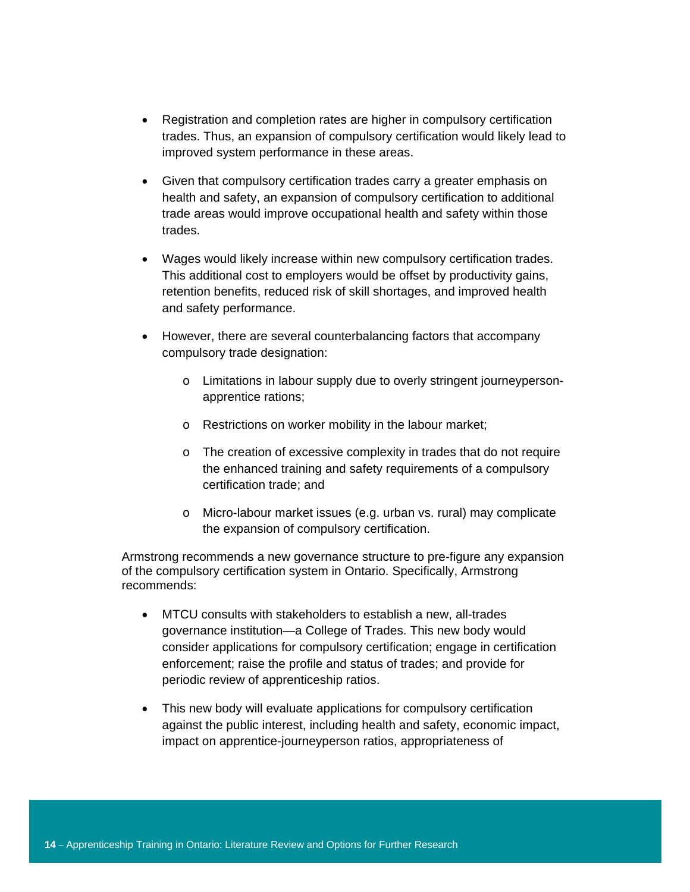- Registration and completion rates are higher in compulsory certification trades. Thus, an expansion of compulsory certification would likely lead to improved system performance in these areas.
- Given that compulsory certification trades carry a greater emphasis on health and safety, an expansion of compulsory certification to additional trade areas would improve occupational health and safety within those trades.
- Wages would likely increase within new compulsory certification trades. This additional cost to employers would be offset by productivity gains, retention benefits, reduced risk of skill shortages, and improved health and safety performance.
- However, there are several counterbalancing factors that accompany compulsory trade designation:
	- o Limitations in labour supply due to overly stringent journeypersonapprentice rations;
	- o Restrictions on worker mobility in the labour market;
	- o The creation of excessive complexity in trades that do not require the enhanced training and safety requirements of a compulsory certification trade; and
	- o Micro-labour market issues (e.g. urban vs. rural) may complicate the expansion of compulsory certification.

Armstrong recommends a new governance structure to pre-figure any expansion of the compulsory certification system in Ontario. Specifically, Armstrong recommends:

- MTCU consults with stakeholders to establish a new, all-trades governance institution—a College of Trades. This new body would consider applications for compulsory certification; engage in certification enforcement; raise the profile and status of trades; and provide for periodic review of apprenticeship ratios.
- This new body will evaluate applications for compulsory certification against the public interest, including health and safety, economic impact, impact on apprentice-journeyperson ratios, appropriateness of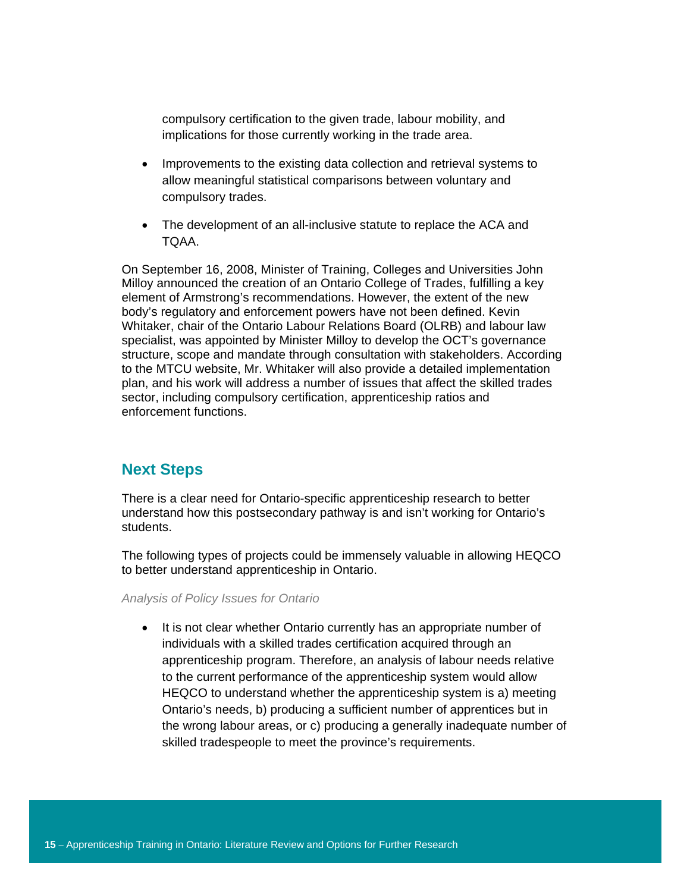compulsory certification to the given trade, labour mobility, and implications for those currently working in the trade area.

- Improvements to the existing data collection and retrieval systems to allow meaningful statistical comparisons between voluntary and compulsory trades.
- The development of an all-inclusive statute to replace the ACA and TQAA.

On September 16, 2008, Minister of Training, Colleges and Universities John Milloy announced the creation of an Ontario College of Trades, fulfilling a key element of Armstrong's recommendations. However, the extent of the new body's regulatory and enforcement powers have not been defined. Kevin Whitaker, chair of the Ontario Labour Relations Board (OLRB) and labour law specialist, was appointed by Minister Milloy to develop the OCT's governance structure, scope and mandate through consultation with stakeholders. According to the MTCU website, Mr. Whitaker will also provide a detailed implementation plan, and his work will address a number of issues that affect the skilled trades sector, including compulsory certification, apprenticeship ratios and enforcement functions.

# **Next Steps**

There is a clear need for Ontario-specific apprenticeship research to better understand how this postsecondary pathway is and isn't working for Ontario's students.

The following types of projects could be immensely valuable in allowing HEQCO to better understand apprenticeship in Ontario.

*Analysis of Policy Issues for Ontario* 

• It is not clear whether Ontario currently has an appropriate number of individuals with a skilled trades certification acquired through an apprenticeship program. Therefore, an analysis of labour needs relative to the current performance of the apprenticeship system would allow HEQCO to understand whether the apprenticeship system is a) meeting Ontario's needs, b) producing a sufficient number of apprentices but in the wrong labour areas, or c) producing a generally inadequate number of skilled tradespeople to meet the province's requirements.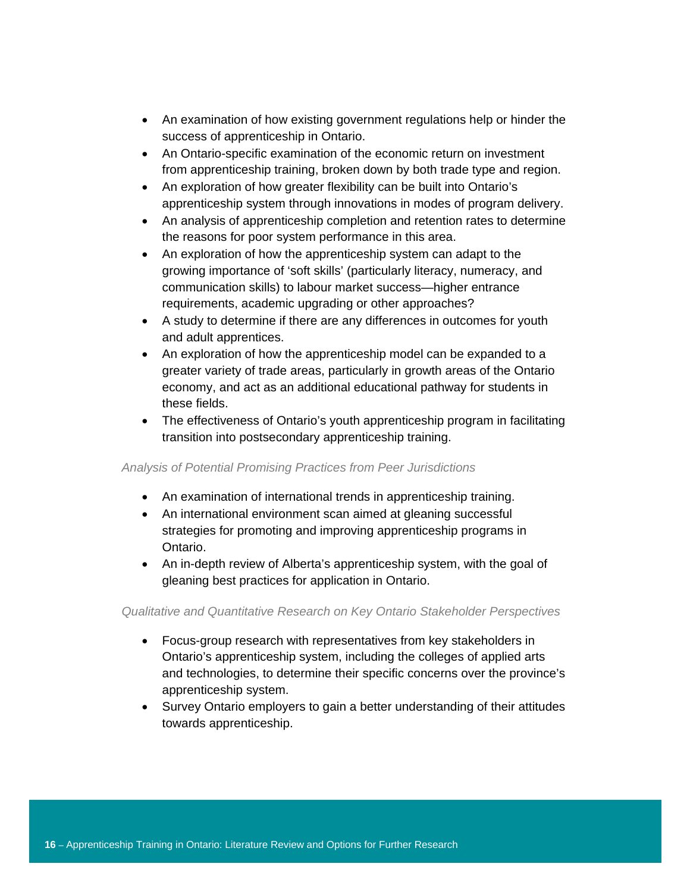- An examination of how existing government regulations help or hinder the success of apprenticeship in Ontario.
- An Ontario-specific examination of the economic return on investment from apprenticeship training, broken down by both trade type and region.
- An exploration of how greater flexibility can be built into Ontario's apprenticeship system through innovations in modes of program delivery.
- An analysis of apprenticeship completion and retention rates to determine the reasons for poor system performance in this area.
- An exploration of how the apprenticeship system can adapt to the growing importance of 'soft skills' (particularly literacy, numeracy, and communication skills) to labour market success—higher entrance requirements, academic upgrading or other approaches?
- A study to determine if there are any differences in outcomes for youth and adult apprentices.
- An exploration of how the apprenticeship model can be expanded to a greater variety of trade areas, particularly in growth areas of the Ontario economy, and act as an additional educational pathway for students in these fields.
- The effectiveness of Ontario's youth apprenticeship program in facilitating transition into postsecondary apprenticeship training.

# *Analysis of Potential Promising Practices from Peer Jurisdictions*

- An examination of international trends in apprenticeship training.
- An international environment scan aimed at gleaning successful strategies for promoting and improving apprenticeship programs in Ontario.
- An in-depth review of Alberta's apprenticeship system, with the goal of gleaning best practices for application in Ontario.

# *Qualitative and Quantitative Research on Key Ontario Stakeholder Perspectives*

- Focus-group research with representatives from key stakeholders in Ontario's apprenticeship system, including the colleges of applied arts and technologies, to determine their specific concerns over the province's apprenticeship system.
- Survey Ontario employers to gain a better understanding of their attitudes towards apprenticeship.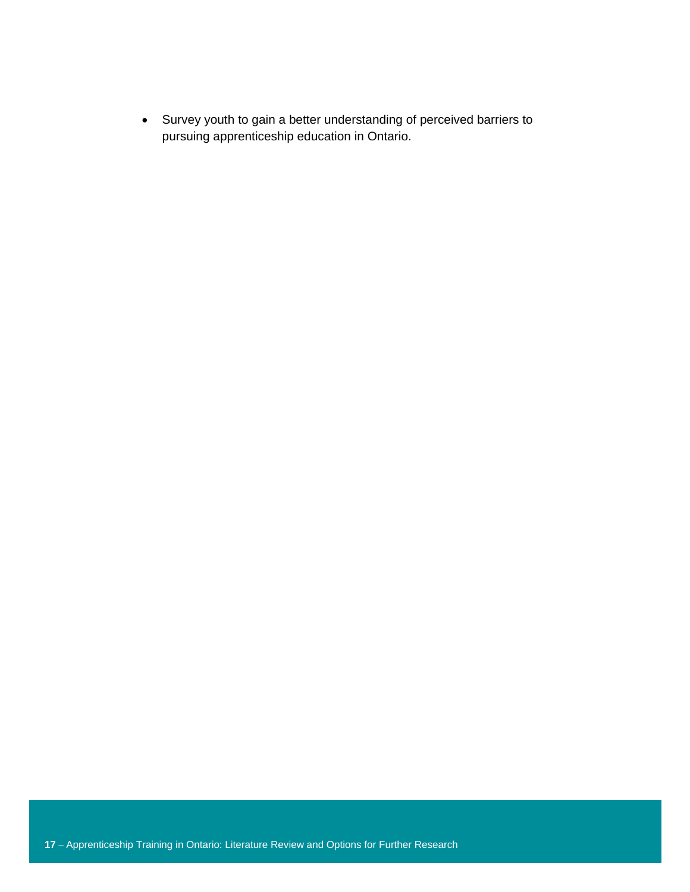• Survey youth to gain a better understanding of perceived barriers to pursuing apprenticeship education in Ontario.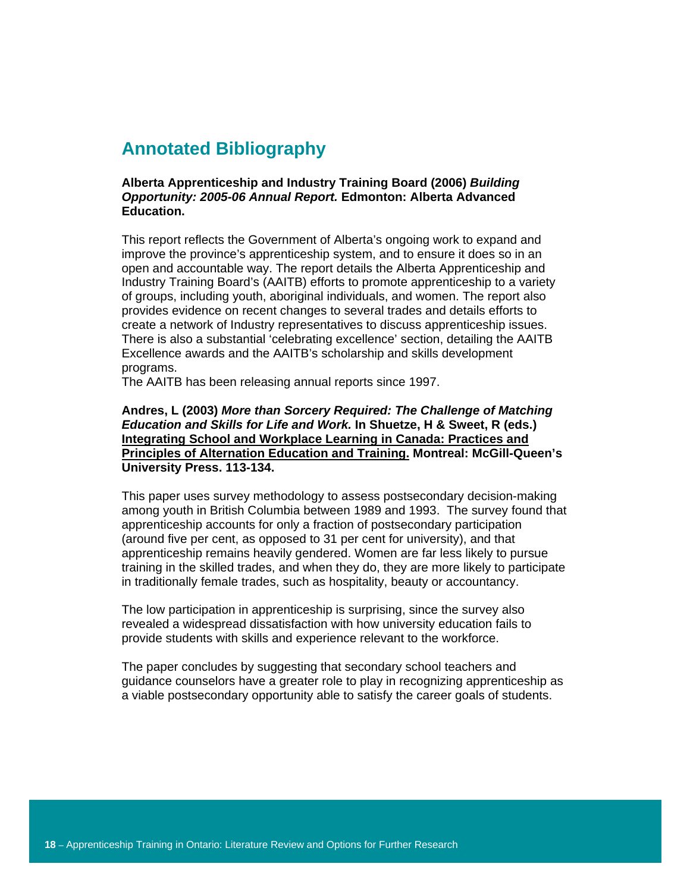# **Annotated Bibliography**

#### **Alberta Apprenticeship and Industry Training Board (2006)** *Building Opportunity: 2005-06 Annual Report.* **Edmonton: Alberta Advanced Education.**

This report reflects the Government of Alberta's ongoing work to expand and improve the province's apprenticeship system, and to ensure it does so in an open and accountable way. The report details the Alberta Apprenticeship and Industry Training Board's (AAITB) efforts to promote apprenticeship to a variety of groups, including youth, aboriginal individuals, and women. The report also provides evidence on recent changes to several trades and details efforts to create a network of Industry representatives to discuss apprenticeship issues. There is also a substantial 'celebrating excellence' section, detailing the AAITB Excellence awards and the AAITB's scholarship and skills development programs.

The AAITB has been releasing annual reports since 1997.

## **Andres, L (2003)** *More than Sorcery Required: The Challenge of Matching Education and Skills for Life and Work.* **In Shuetze, H & Sweet, R (eds.) Integrating School and Workplace Learning in Canada: Practices and Principles of Alternation Education and Training. Montreal: McGill-Queen's University Press. 113-134.**

This paper uses survey methodology to assess postsecondary decision-making among youth in British Columbia between 1989 and 1993. The survey found that apprenticeship accounts for only a fraction of postsecondary participation (around five per cent, as opposed to 31 per cent for university), and that apprenticeship remains heavily gendered. Women are far less likely to pursue training in the skilled trades, and when they do, they are more likely to participate in traditionally female trades, such as hospitality, beauty or accountancy.

The low participation in apprenticeship is surprising, since the survey also revealed a widespread dissatisfaction with how university education fails to provide students with skills and experience relevant to the workforce.

The paper concludes by suggesting that secondary school teachers and guidance counselors have a greater role to play in recognizing apprenticeship as a viable postsecondary opportunity able to satisfy the career goals of students.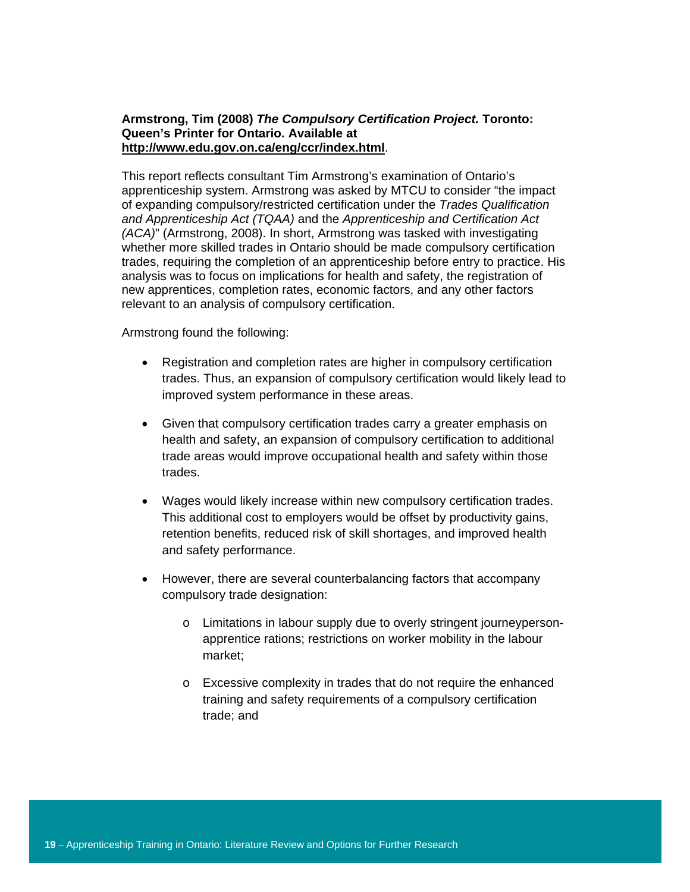## **Armstrong, Tim (2008)** *The Compulsory Certification Project.* **Toronto: Queen's Printer for Ontario. Available at http://www.edu.gov.on.ca/eng/ccr/index.html**.

This report reflects consultant Tim Armstrong's examination of Ontario's apprenticeship system. Armstrong was asked by MTCU to consider "the impact of expanding compulsory/restricted certification under the *Trades Qualification and Apprenticeship Act (TQAA)* and the *Apprenticeship and Certification Act (ACA)*" (Armstrong, 2008). In short, Armstrong was tasked with investigating whether more skilled trades in Ontario should be made compulsory certification trades, requiring the completion of an apprenticeship before entry to practice. His analysis was to focus on implications for health and safety, the registration of new apprentices, completion rates, economic factors, and any other factors relevant to an analysis of compulsory certification.

Armstrong found the following:

- Registration and completion rates are higher in compulsory certification trades. Thus, an expansion of compulsory certification would likely lead to improved system performance in these areas.
- Given that compulsory certification trades carry a greater emphasis on health and safety, an expansion of compulsory certification to additional trade areas would improve occupational health and safety within those trades.
- Wages would likely increase within new compulsory certification trades. This additional cost to employers would be offset by productivity gains, retention benefits, reduced risk of skill shortages, and improved health and safety performance.
- However, there are several counterbalancing factors that accompany compulsory trade designation:
	- o Limitations in labour supply due to overly stringent journeypersonapprentice rations; restrictions on worker mobility in the labour market;
	- o Excessive complexity in trades that do not require the enhanced training and safety requirements of a compulsory certification trade; and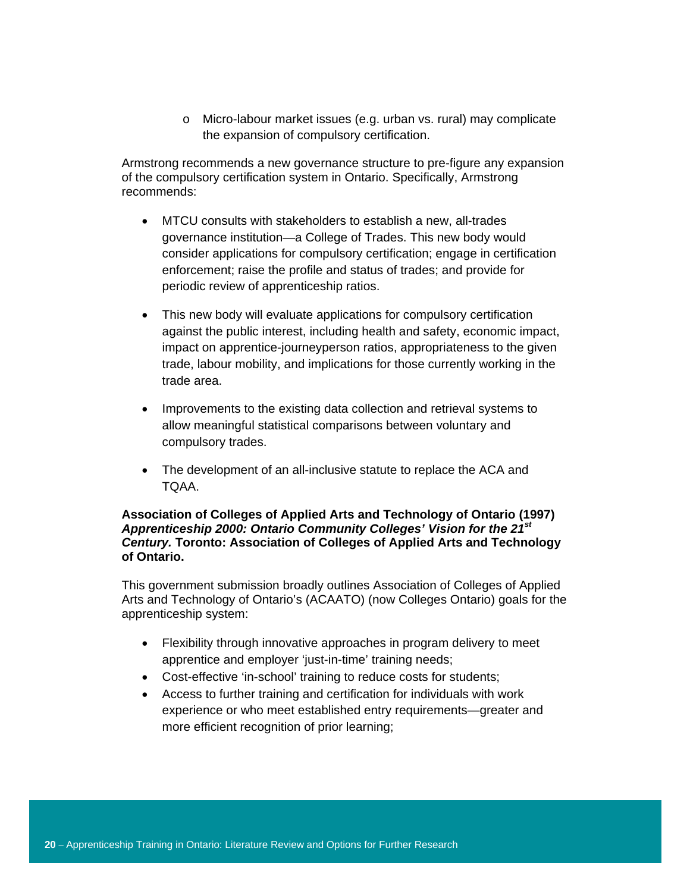o Micro-labour market issues (e.g. urban vs. rural) may complicate the expansion of compulsory certification.

Armstrong recommends a new governance structure to pre-figure any expansion of the compulsory certification system in Ontario. Specifically, Armstrong recommends:

- MTCU consults with stakeholders to establish a new, all-trades governance institution—a College of Trades. This new body would consider applications for compulsory certification; engage in certification enforcement; raise the profile and status of trades; and provide for periodic review of apprenticeship ratios.
- This new body will evaluate applications for compulsory certification against the public interest, including health and safety, economic impact, impact on apprentice-journeyperson ratios, appropriateness to the given trade, labour mobility, and implications for those currently working in the trade area.
- Improvements to the existing data collection and retrieval systems to allow meaningful statistical comparisons between voluntary and compulsory trades.
- The development of an all-inclusive statute to replace the ACA and TQAA.

## **Association of Colleges of Applied Arts and Technology of Ontario (1997)**  *Apprenticeship 2000: Ontario Community Colleges' Vision for the 21st Century.* **Toronto: Association of Colleges of Applied Arts and Technology of Ontario.**

This government submission broadly outlines Association of Colleges of Applied Arts and Technology of Ontario's (ACAATO) (now Colleges Ontario) goals for the apprenticeship system:

- Flexibility through innovative approaches in program delivery to meet apprentice and employer 'just-in-time' training needs;
- Cost-effective 'in-school' training to reduce costs for students;
- Access to further training and certification for individuals with work experience or who meet established entry requirements—greater and more efficient recognition of prior learning;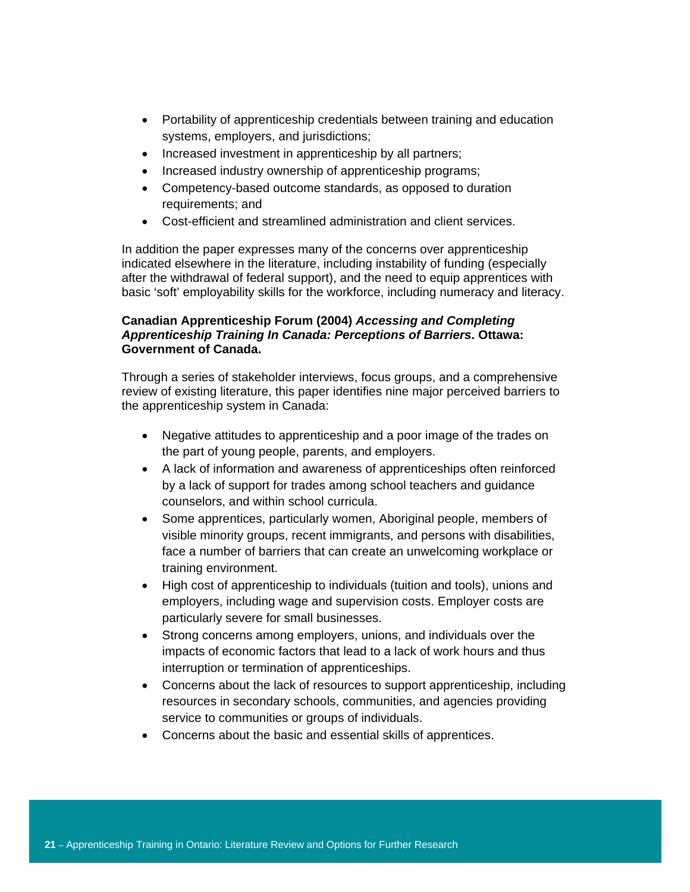- Portability of apprenticeship credentials between training and education systems, employers, and jurisdictions;
- Increased investment in apprenticeship by all partners;
- Increased industry ownership of apprenticeship programs;
- Competency-based outcome standards, as opposed to duration requirements; and
- Cost-efficient and streamlined administration and client services.

In addition the paper expresses many of the concerns over apprenticeship indicated elsewhere in the literature, including instability of funding (especially after the withdrawal of federal support), and the need to equip apprentices with basic 'soft' employability skills for the workforce, including numeracy and literacy.

# **Canadian Apprenticeship Forum (2004)** *Accessing and Completing Apprenticeship Training In Canada: Perceptions of Barriers***. Ottawa: Government of Canada.**

Through a series of stakeholder interviews, focus groups, and a comprehensive review of existing literature, this paper identifies nine major perceived barriers to the apprenticeship system in Canada:

- Negative attitudes to apprenticeship and a poor image of the trades on the part of young people, parents, and employers.
- A lack of information and awareness of apprenticeships often reinforced by a lack of support for trades among school teachers and guidance counselors, and within school curricula.
- Some apprentices, particularly women, Aboriginal people, members of visible minority groups, recent immigrants, and persons with disabilities, face a number of barriers that can create an unwelcoming workplace or training environment.
- High cost of apprenticeship to individuals (tuition and tools), unions and employers, including wage and supervision costs. Employer costs are particularly severe for small businesses.
- Strong concerns among employers, unions, and individuals over the impacts of economic factors that lead to a lack of work hours and thus interruption or termination of apprenticeships.
- Concerns about the lack of resources to support apprenticeship, including resources in secondary schools, communities, and agencies providing service to communities or groups of individuals.
- Concerns about the basic and essential skills of apprentices.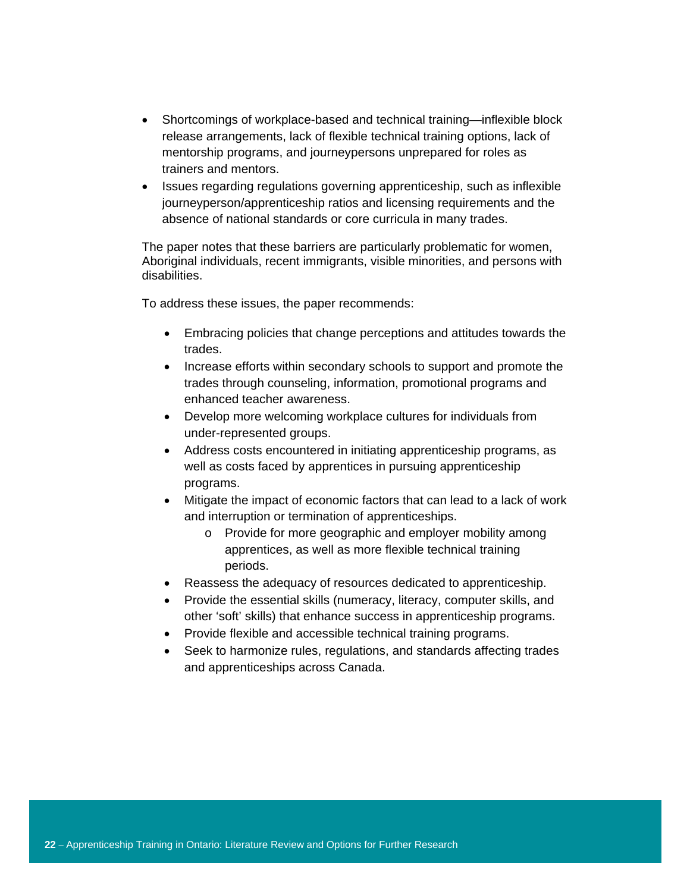- Shortcomings of workplace-based and technical training—inflexible block release arrangements, lack of flexible technical training options, lack of mentorship programs, and journeypersons unprepared for roles as trainers and mentors.
- Issues regarding regulations governing apprenticeship, such as inflexible journeyperson/apprenticeship ratios and licensing requirements and the absence of national standards or core curricula in many trades.

The paper notes that these barriers are particularly problematic for women, Aboriginal individuals, recent immigrants, visible minorities, and persons with disabilities.

To address these issues, the paper recommends:

- Embracing policies that change perceptions and attitudes towards the trades.
- Increase efforts within secondary schools to support and promote the trades through counseling, information, promotional programs and enhanced teacher awareness.
- Develop more welcoming workplace cultures for individuals from under-represented groups.
- Address costs encountered in initiating apprenticeship programs, as well as costs faced by apprentices in pursuing apprenticeship programs.
- Mitigate the impact of economic factors that can lead to a lack of work and interruption or termination of apprenticeships.
	- o Provide for more geographic and employer mobility among apprentices, as well as more flexible technical training periods.
- Reassess the adequacy of resources dedicated to apprenticeship.
- Provide the essential skills (numeracy, literacy, computer skills, and other 'soft' skills) that enhance success in apprenticeship programs.
- Provide flexible and accessible technical training programs.
- Seek to harmonize rules, regulations, and standards affecting trades and apprenticeships across Canada.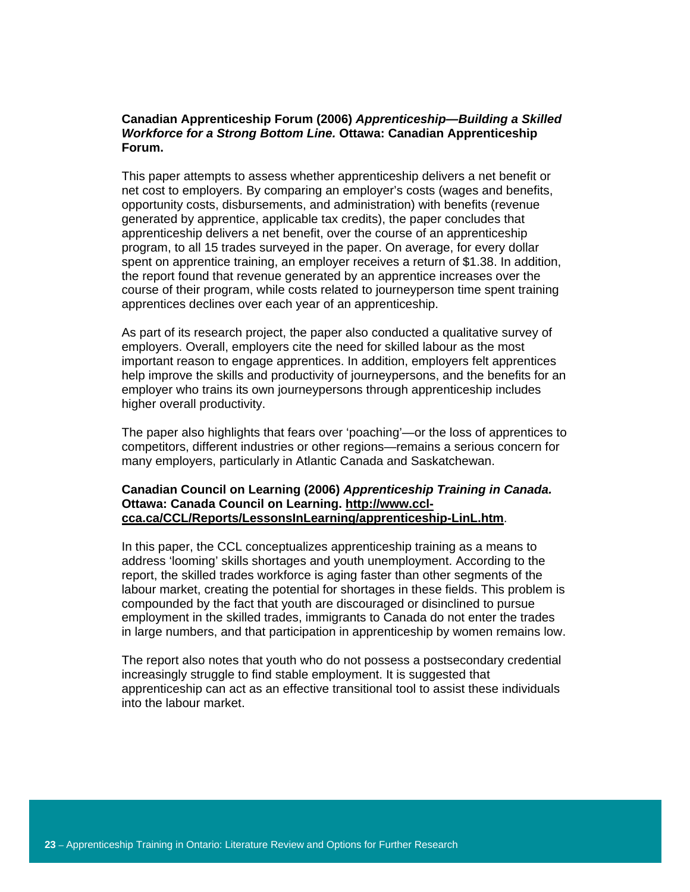### **Canadian Apprenticeship Forum (2006)** *Apprenticeship—Building a Skilled Workforce for a Strong Bottom Line.* **Ottawa: Canadian Apprenticeship Forum.**

This paper attempts to assess whether apprenticeship delivers a net benefit or net cost to employers. By comparing an employer's costs (wages and benefits, opportunity costs, disbursements, and administration) with benefits (revenue generated by apprentice, applicable tax credits), the paper concludes that apprenticeship delivers a net benefit, over the course of an apprenticeship program, to all 15 trades surveyed in the paper. On average, for every dollar spent on apprentice training, an employer receives a return of \$1.38. In addition, the report found that revenue generated by an apprentice increases over the course of their program, while costs related to journeyperson time spent training apprentices declines over each year of an apprenticeship.

As part of its research project, the paper also conducted a qualitative survey of employers. Overall, employers cite the need for skilled labour as the most important reason to engage apprentices. In addition, employers felt apprentices help improve the skills and productivity of journeypersons, and the benefits for an employer who trains its own journeypersons through apprenticeship includes higher overall productivity.

The paper also highlights that fears over 'poaching'—or the loss of apprentices to competitors, different industries or other regions—remains a serious concern for many employers, particularly in Atlantic Canada and Saskatchewan.

#### **Canadian Council on Learning (2006)** *Apprenticeship Training in Canada.*  **Ottawa: Canada Council on Learning. http://www.cclcca.ca/CCL/Reports/LessonsInLearning/apprenticeship-LinL.htm**.

In this paper, the CCL conceptualizes apprenticeship training as a means to address 'looming' skills shortages and youth unemployment. According to the report, the skilled trades workforce is aging faster than other segments of the labour market, creating the potential for shortages in these fields. This problem is compounded by the fact that youth are discouraged or disinclined to pursue employment in the skilled trades, immigrants to Canada do not enter the trades in large numbers, and that participation in apprenticeship by women remains low.

The report also notes that youth who do not possess a postsecondary credential increasingly struggle to find stable employment. It is suggested that apprenticeship can act as an effective transitional tool to assist these individuals into the labour market.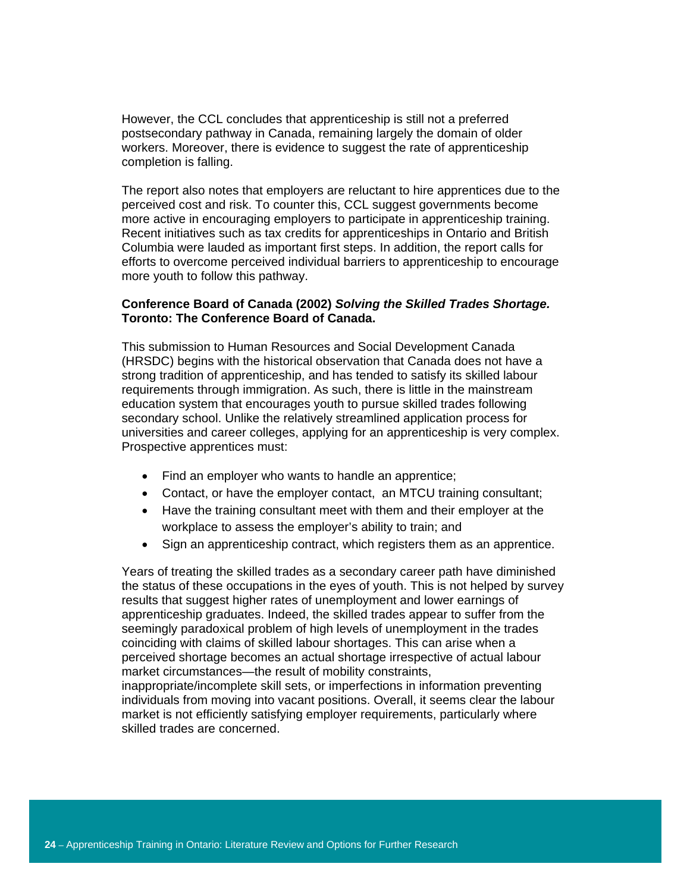However, the CCL concludes that apprenticeship is still not a preferred postsecondary pathway in Canada, remaining largely the domain of older workers. Moreover, there is evidence to suggest the rate of apprenticeship completion is falling.

The report also notes that employers are reluctant to hire apprentices due to the perceived cost and risk. To counter this, CCL suggest governments become more active in encouraging employers to participate in apprenticeship training. Recent initiatives such as tax credits for apprenticeships in Ontario and British Columbia were lauded as important first steps. In addition, the report calls for efforts to overcome perceived individual barriers to apprenticeship to encourage more youth to follow this pathway.

#### **Conference Board of Canada (2002)** *Solving the Skilled Trades Shortage.*  **Toronto: The Conference Board of Canada.**

This submission to Human Resources and Social Development Canada (HRSDC) begins with the historical observation that Canada does not have a strong tradition of apprenticeship, and has tended to satisfy its skilled labour requirements through immigration. As such, there is little in the mainstream education system that encourages youth to pursue skilled trades following secondary school. Unlike the relatively streamlined application process for universities and career colleges, applying for an apprenticeship is very complex. Prospective apprentices must:

- Find an employer who wants to handle an apprentice;
- Contact, or have the employer contact, an MTCU training consultant;
- Have the training consultant meet with them and their employer at the workplace to assess the employer's ability to train; and
- Sign an apprenticeship contract, which registers them as an apprentice.

Years of treating the skilled trades as a secondary career path have diminished the status of these occupations in the eyes of youth. This is not helped by survey results that suggest higher rates of unemployment and lower earnings of apprenticeship graduates. Indeed, the skilled trades appear to suffer from the seemingly paradoxical problem of high levels of unemployment in the trades coinciding with claims of skilled labour shortages. This can arise when a perceived shortage becomes an actual shortage irrespective of actual labour market circumstances—the result of mobility constraints, inappropriate/incomplete skill sets, or imperfections in information preventing individuals from moving into vacant positions. Overall, it seems clear the labour market is not efficiently satisfying employer requirements, particularly where skilled trades are concerned.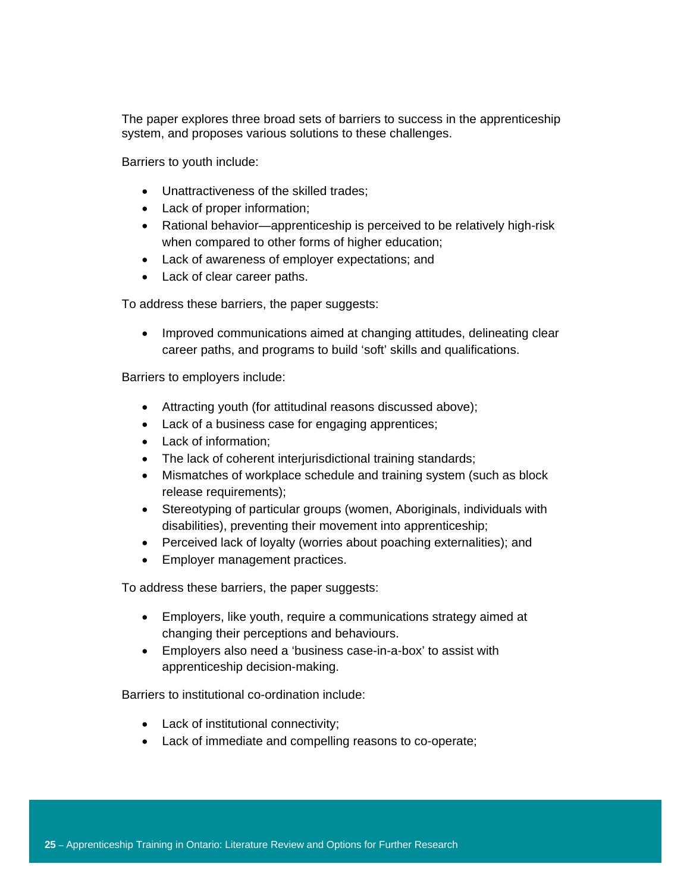The paper explores three broad sets of barriers to success in the apprenticeship system, and proposes various solutions to these challenges.

Barriers to youth include:

- Unattractiveness of the skilled trades;
- Lack of proper information;
- Rational behavior—apprenticeship is perceived to be relatively high-risk when compared to other forms of higher education;
- Lack of awareness of employer expectations; and
- Lack of clear career paths.

To address these barriers, the paper suggests:

• Improved communications aimed at changing attitudes, delineating clear career paths, and programs to build 'soft' skills and qualifications.

Barriers to employers include:

- Attracting youth (for attitudinal reasons discussed above);
- Lack of a business case for engaging apprentices;
- Lack of information;
- The lack of coherent interjurisdictional training standards;
- Mismatches of workplace schedule and training system (such as block release requirements);
- Stereotyping of particular groups (women, Aboriginals, individuals with disabilities), preventing their movement into apprenticeship;
- Perceived lack of loyalty (worries about poaching externalities); and
- Employer management practices.

To address these barriers, the paper suggests:

- Employers, like youth, require a communications strategy aimed at changing their perceptions and behaviours.
- Employers also need a 'business case-in-a-box' to assist with apprenticeship decision-making.

Barriers to institutional co-ordination include:

- Lack of institutional connectivity;
- Lack of immediate and compelling reasons to co-operate;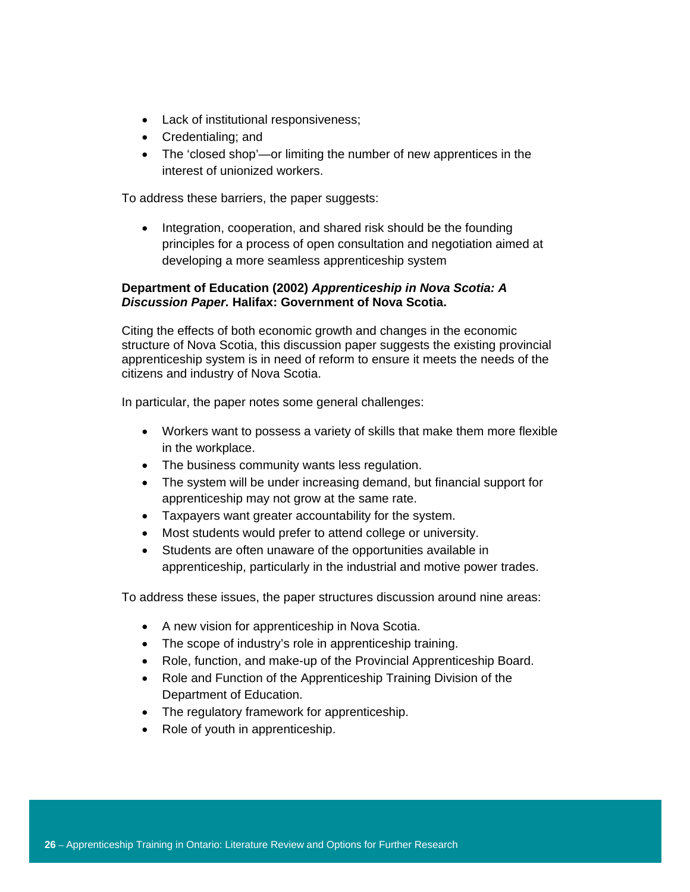- Lack of institutional responsiveness;
- Credentialing; and
- The 'closed shop'—or limiting the number of new apprentices in the interest of unionized workers.

To address these barriers, the paper suggests:

• Integration, cooperation, and shared risk should be the founding principles for a process of open consultation and negotiation aimed at developing a more seamless apprenticeship system

## **Department of Education (2002)** *Apprenticeship in Nova Scotia: A Discussion Paper.* **Halifax: Government of Nova Scotia.**

Citing the effects of both economic growth and changes in the economic structure of Nova Scotia, this discussion paper suggests the existing provincial apprenticeship system is in need of reform to ensure it meets the needs of the citizens and industry of Nova Scotia.

In particular, the paper notes some general challenges:

- Workers want to possess a variety of skills that make them more flexible in the workplace.
- The business community wants less regulation.
- The system will be under increasing demand, but financial support for apprenticeship may not grow at the same rate.
- Taxpayers want greater accountability for the system.
- Most students would prefer to attend college or university.
- Students are often unaware of the opportunities available in apprenticeship, particularly in the industrial and motive power trades.

To address these issues, the paper structures discussion around nine areas:

- A new vision for apprenticeship in Nova Scotia.
- The scope of industry's role in apprenticeship training.
- Role, function, and make-up of the Provincial Apprenticeship Board.
- Role and Function of the Apprenticeship Training Division of the Department of Education.
- The regulatory framework for apprenticeship.
- Role of youth in apprenticeship.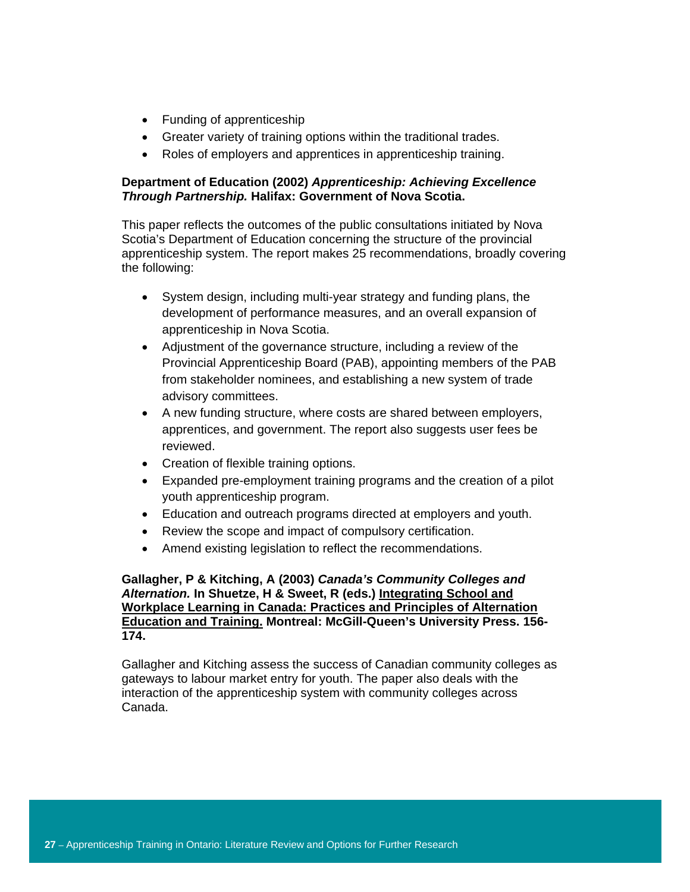- Funding of apprenticeship
- Greater variety of training options within the traditional trades.
- Roles of employers and apprentices in apprenticeship training.

## **Department of Education (2002)** *Apprenticeship: Achieving Excellence Through Partnership.* **Halifax: Government of Nova Scotia.**

This paper reflects the outcomes of the public consultations initiated by Nova Scotia's Department of Education concerning the structure of the provincial apprenticeship system. The report makes 25 recommendations, broadly covering the following:

- System design, including multi-year strategy and funding plans, the development of performance measures, and an overall expansion of apprenticeship in Nova Scotia.
- Adjustment of the governance structure, including a review of the Provincial Apprenticeship Board (PAB), appointing members of the PAB from stakeholder nominees, and establishing a new system of trade advisory committees.
- A new funding structure, where costs are shared between employers, apprentices, and government. The report also suggests user fees be reviewed.
- Creation of flexible training options.
- Expanded pre-employment training programs and the creation of a pilot youth apprenticeship program.
- Education and outreach programs directed at employers and youth.
- Review the scope and impact of compulsory certification.
- Amend existing legislation to reflect the recommendations.

## **Gallagher, P & Kitching, A (2003)** *Canada's Community Colleges and Alternation.* **In Shuetze, H & Sweet, R (eds.) Integrating School and Workplace Learning in Canada: Practices and Principles of Alternation Education and Training. Montreal: McGill-Queen's University Press. 156- 174.**

Gallagher and Kitching assess the success of Canadian community colleges as gateways to labour market entry for youth. The paper also deals with the interaction of the apprenticeship system with community colleges across Canada.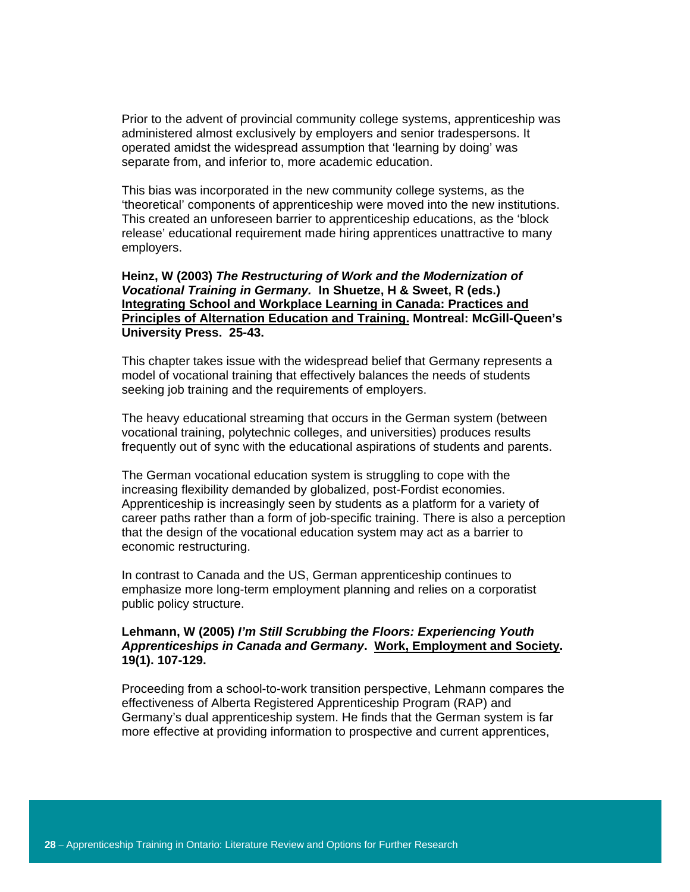Prior to the advent of provincial community college systems, apprenticeship was administered almost exclusively by employers and senior tradespersons. It operated amidst the widespread assumption that 'learning by doing' was separate from, and inferior to, more academic education.

This bias was incorporated in the new community college systems, as the 'theoretical' components of apprenticeship were moved into the new institutions. This created an unforeseen barrier to apprenticeship educations, as the 'block release' educational requirement made hiring apprentices unattractive to many employers.

#### **Heinz, W (2003)** *The Restructuring of Work and the Modernization of Vocational Training in Germany.* **In Shuetze, H & Sweet, R (eds.) Integrating School and Workplace Learning in Canada: Practices and Principles of Alternation Education and Training. Montreal: McGill-Queen's University Press. 25-43.**

This chapter takes issue with the widespread belief that Germany represents a model of vocational training that effectively balances the needs of students seeking job training and the requirements of employers.

The heavy educational streaming that occurs in the German system (between vocational training, polytechnic colleges, and universities) produces results frequently out of sync with the educational aspirations of students and parents.

The German vocational education system is struggling to cope with the increasing flexibility demanded by globalized, post-Fordist economies. Apprenticeship is increasingly seen by students as a platform for a variety of career paths rather than a form of job-specific training. There is also a perception that the design of the vocational education system may act as a barrier to economic restructuring.

In contrast to Canada and the US, German apprenticeship continues to emphasize more long-term employment planning and relies on a corporatist public policy structure.

## **Lehmann, W (2005)** *I'm Still Scrubbing the Floors: Experiencing Youth Apprenticeships in Canada and Germany***. Work, Employment and Society. 19(1). 107-129.**

Proceeding from a school-to-work transition perspective, Lehmann compares the effectiveness of Alberta Registered Apprenticeship Program (RAP) and Germany's dual apprenticeship system. He finds that the German system is far more effective at providing information to prospective and current apprentices,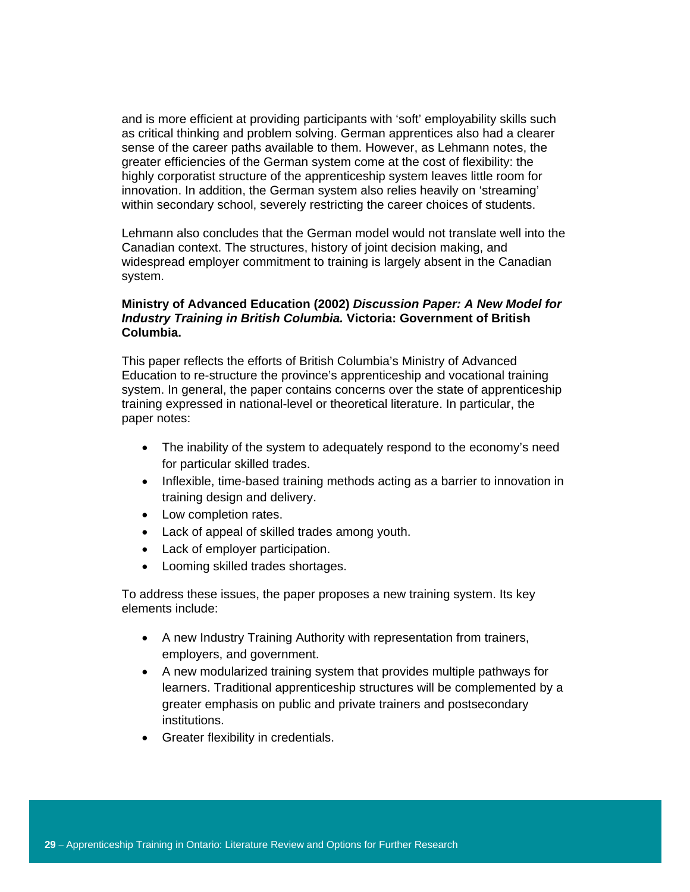and is more efficient at providing participants with 'soft' employability skills such as critical thinking and problem solving. German apprentices also had a clearer sense of the career paths available to them. However, as Lehmann notes, the greater efficiencies of the German system come at the cost of flexibility: the highly corporatist structure of the apprenticeship system leaves little room for innovation. In addition, the German system also relies heavily on 'streaming' within secondary school, severely restricting the career choices of students.

Lehmann also concludes that the German model would not translate well into the Canadian context. The structures, history of joint decision making, and widespread employer commitment to training is largely absent in the Canadian system.

## **Ministry of Advanced Education (2002)** *Discussion Paper: A New Model for Industry Training in British Columbia.* **Victoria: Government of British Columbia.**

This paper reflects the efforts of British Columbia's Ministry of Advanced Education to re-structure the province's apprenticeship and vocational training system. In general, the paper contains concerns over the state of apprenticeship training expressed in national-level or theoretical literature. In particular, the paper notes:

- The inability of the system to adequately respond to the economy's need for particular skilled trades.
- Inflexible, time-based training methods acting as a barrier to innovation in training design and delivery.
- Low completion rates.
- Lack of appeal of skilled trades among youth.
- Lack of employer participation.
- Looming skilled trades shortages.

To address these issues, the paper proposes a new training system. Its key elements include:

- A new Industry Training Authority with representation from trainers, employers, and government.
- A new modularized training system that provides multiple pathways for learners. Traditional apprenticeship structures will be complemented by a greater emphasis on public and private trainers and postsecondary institutions.
- Greater flexibility in credentials.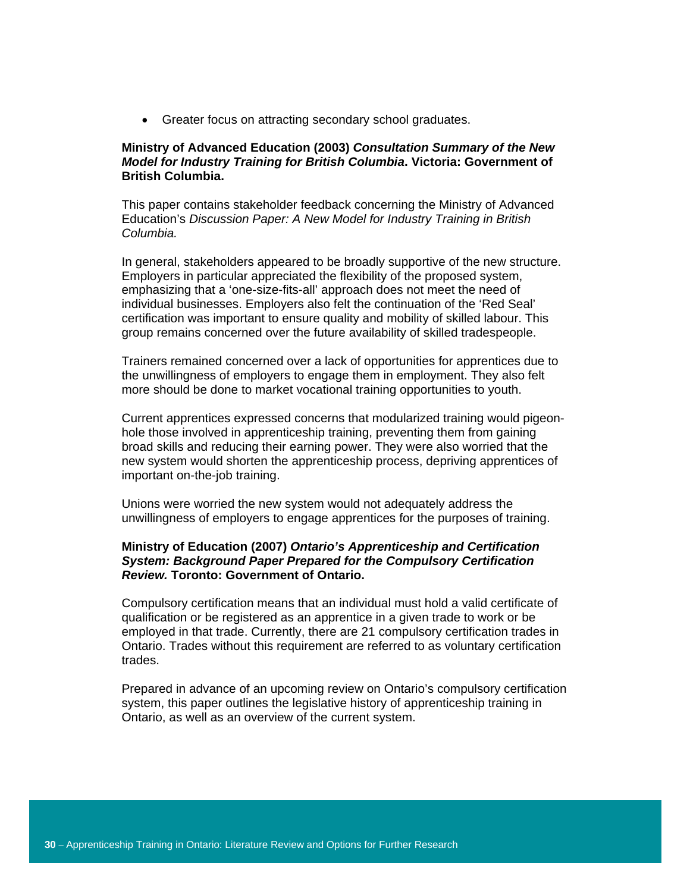• Greater focus on attracting secondary school graduates.

# **Ministry of Advanced Education (2003)** *Consultation Summary of the New Model for Industry Training for British Columbia***. Victoria: Government of British Columbia.**

This paper contains stakeholder feedback concerning the Ministry of Advanced Education's *Discussion Paper: A New Model for Industry Training in British Columbia.* 

In general, stakeholders appeared to be broadly supportive of the new structure. Employers in particular appreciated the flexibility of the proposed system, emphasizing that a 'one-size-fits-all' approach does not meet the need of individual businesses. Employers also felt the continuation of the 'Red Seal' certification was important to ensure quality and mobility of skilled labour. This group remains concerned over the future availability of skilled tradespeople.

Trainers remained concerned over a lack of opportunities for apprentices due to the unwillingness of employers to engage them in employment. They also felt more should be done to market vocational training opportunities to youth.

Current apprentices expressed concerns that modularized training would pigeonhole those involved in apprenticeship training, preventing them from gaining broad skills and reducing their earning power. They were also worried that the new system would shorten the apprenticeship process, depriving apprentices of important on-the-job training.

Unions were worried the new system would not adequately address the unwillingness of employers to engage apprentices for the purposes of training.

## **Ministry of Education (2007)** *Ontario's Apprenticeship and Certification System: Background Paper Prepared for the Compulsory Certification Review.* **Toronto: Government of Ontario.**

Compulsory certification means that an individual must hold a valid certificate of qualification or be registered as an apprentice in a given trade to work or be employed in that trade. Currently, there are 21 compulsory certification trades in Ontario. Trades without this requirement are referred to as voluntary certification trades.

Prepared in advance of an upcoming review on Ontario's compulsory certification system, this paper outlines the legislative history of apprenticeship training in Ontario, as well as an overview of the current system.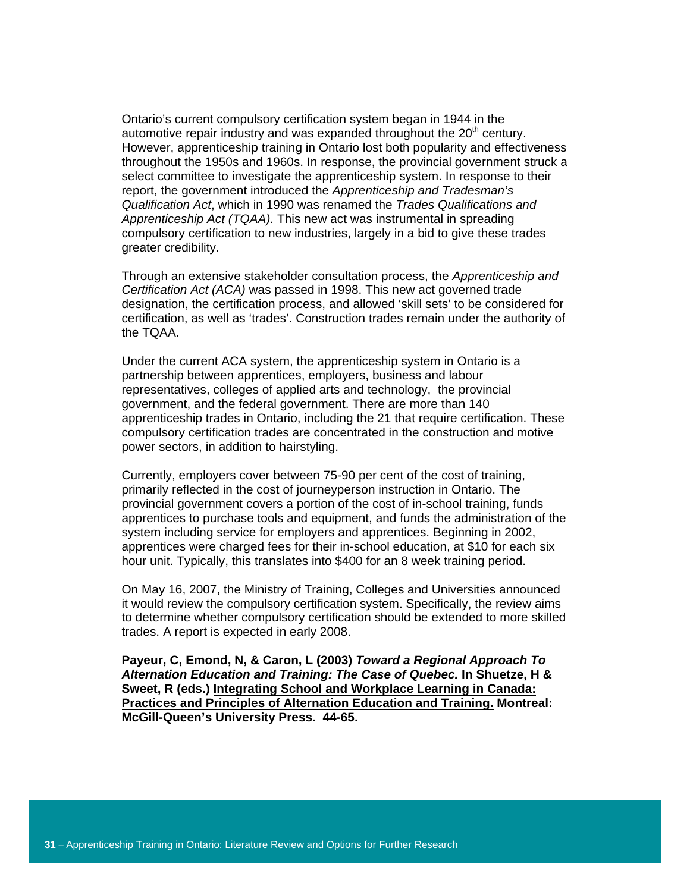Ontario's current compulsory certification system began in 1944 in the automotive repair industry and was expanded throughout the 20<sup>th</sup> century. However, apprenticeship training in Ontario lost both popularity and effectiveness throughout the 1950s and 1960s. In response, the provincial government struck a select committee to investigate the apprenticeship system. In response to their report, the government introduced the *Apprenticeship and Tradesman's Qualification Act*, which in 1990 was renamed the *Trades Qualifications and Apprenticeship Act (TQAA).* This new act was instrumental in spreading compulsory certification to new industries, largely in a bid to give these trades greater credibility.

Through an extensive stakeholder consultation process, the *Apprenticeship and Certification Act (ACA)* was passed in 1998. This new act governed trade designation, the certification process, and allowed 'skill sets' to be considered for certification, as well as 'trades'. Construction trades remain under the authority of the TQAA.

Under the current ACA system, the apprenticeship system in Ontario is a partnership between apprentices, employers, business and labour representatives, colleges of applied arts and technology, the provincial government, and the federal government. There are more than 140 apprenticeship trades in Ontario, including the 21 that require certification. These compulsory certification trades are concentrated in the construction and motive power sectors, in addition to hairstyling.

Currently, employers cover between 75-90 per cent of the cost of training, primarily reflected in the cost of journeyperson instruction in Ontario. The provincial government covers a portion of the cost of in-school training, funds apprentices to purchase tools and equipment, and funds the administration of the system including service for employers and apprentices. Beginning in 2002, apprentices were charged fees for their in-school education, at \$10 for each six hour unit. Typically, this translates into \$400 for an 8 week training period.

On May 16, 2007, the Ministry of Training, Colleges and Universities announced it would review the compulsory certification system. Specifically, the review aims to determine whether compulsory certification should be extended to more skilled trades. A report is expected in early 2008.

**Payeur, C, Emond, N, & Caron, L (2003)** *Toward a Regional Approach To Alternation Education and Training: The Case of Quebec.* **In Shuetze, H & Sweet, R (eds.) Integrating School and Workplace Learning in Canada: Practices and Principles of Alternation Education and Training. Montreal: McGill-Queen's University Press. 44-65.**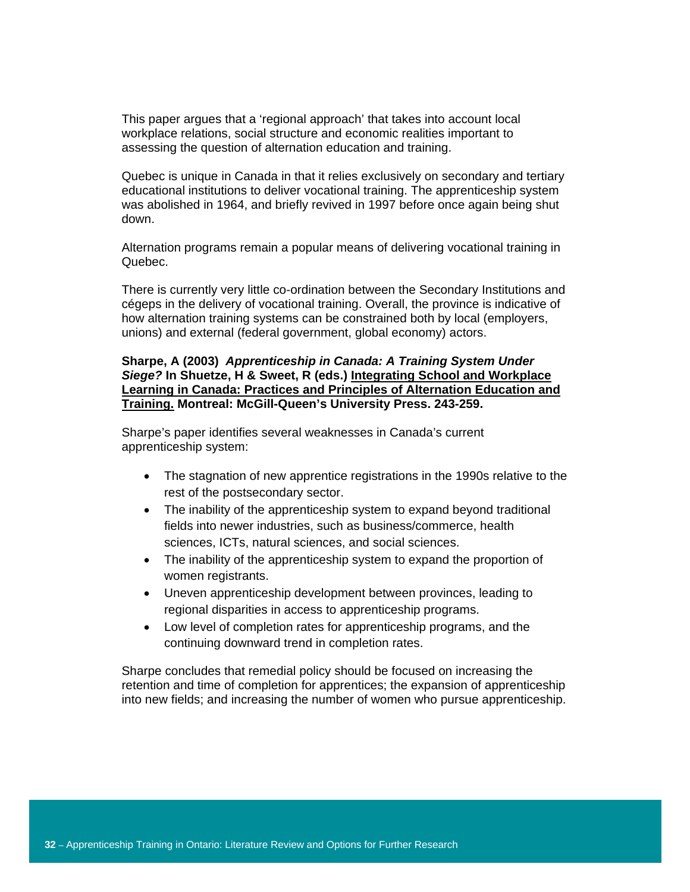This paper argues that a 'regional approach' that takes into account local workplace relations, social structure and economic realities important to assessing the question of alternation education and training.

Quebec is unique in Canada in that it relies exclusively on secondary and tertiary educational institutions to deliver vocational training. The apprenticeship system was abolished in 1964, and briefly revived in 1997 before once again being shut down.

Alternation programs remain a popular means of delivering vocational training in Quebec.

There is currently very little co-ordination between the Secondary Institutions and cégeps in the delivery of vocational training. Overall, the province is indicative of how alternation training systems can be constrained both by local (employers, unions) and external (federal government, global economy) actors.

## **Sharpe, A (2003)** *Apprenticeship in Canada: A Training System Under Siege?* **In Shuetze, H & Sweet, R (eds.) Integrating School and Workplace Learning in Canada: Practices and Principles of Alternation Education and Training. Montreal: McGill-Queen's University Press. 243-259.**

Sharpe's paper identifies several weaknesses in Canada's current apprenticeship system:

- The stagnation of new apprentice registrations in the 1990s relative to the rest of the postsecondary sector.
- The inability of the apprenticeship system to expand beyond traditional fields into newer industries, such as business/commerce, health sciences, ICTs, natural sciences, and social sciences.
- The inability of the apprenticeship system to expand the proportion of women registrants.
- Uneven apprenticeship development between provinces, leading to regional disparities in access to apprenticeship programs.
- Low level of completion rates for apprenticeship programs, and the continuing downward trend in completion rates.

Sharpe concludes that remedial policy should be focused on increasing the retention and time of completion for apprentices; the expansion of apprenticeship into new fields; and increasing the number of women who pursue apprenticeship.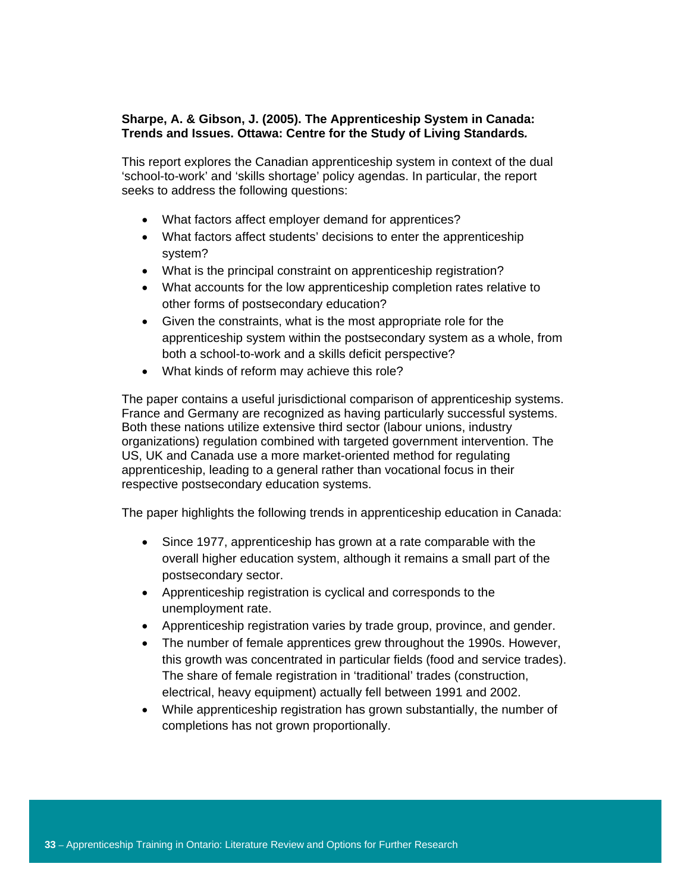# **Sharpe, A. & Gibson, J. (2005). The Apprenticeship System in Canada: Trends and Issues. Ottawa: Centre for the Study of Living Standards***.*

This report explores the Canadian apprenticeship system in context of the dual 'school-to-work' and 'skills shortage' policy agendas. In particular, the report seeks to address the following questions:

- What factors affect employer demand for apprentices?
- What factors affect students' decisions to enter the apprenticeship system?
- What is the principal constraint on apprenticeship registration?
- What accounts for the low apprenticeship completion rates relative to other forms of postsecondary education?
- Given the constraints, what is the most appropriate role for the apprenticeship system within the postsecondary system as a whole, from both a school-to-work and a skills deficit perspective?
- What kinds of reform may achieve this role?

The paper contains a useful jurisdictional comparison of apprenticeship systems. France and Germany are recognized as having particularly successful systems. Both these nations utilize extensive third sector (labour unions, industry organizations) regulation combined with targeted government intervention. The US, UK and Canada use a more market-oriented method for regulating apprenticeship, leading to a general rather than vocational focus in their respective postsecondary education systems.

The paper highlights the following trends in apprenticeship education in Canada:

- Since 1977, apprenticeship has grown at a rate comparable with the overall higher education system, although it remains a small part of the postsecondary sector.
- Apprenticeship registration is cyclical and corresponds to the unemployment rate.
- Apprenticeship registration varies by trade group, province, and gender.
- The number of female apprentices grew throughout the 1990s. However, this growth was concentrated in particular fields (food and service trades). The share of female registration in 'traditional' trades (construction, electrical, heavy equipment) actually fell between 1991 and 2002.
- While apprenticeship registration has grown substantially, the number of completions has not grown proportionally.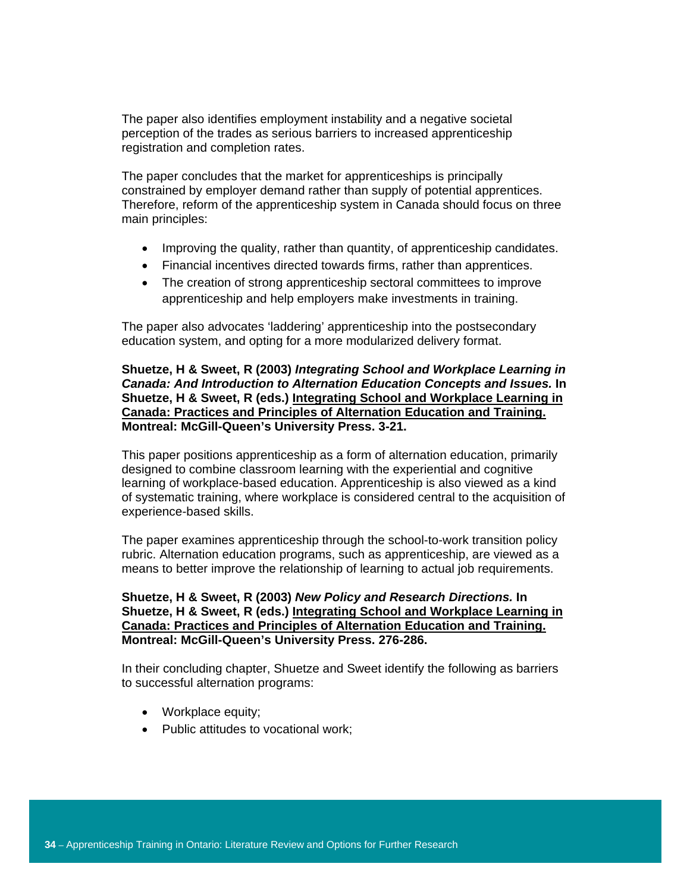The paper also identifies employment instability and a negative societal perception of the trades as serious barriers to increased apprenticeship registration and completion rates.

The paper concludes that the market for apprenticeships is principally constrained by employer demand rather than supply of potential apprentices. Therefore, reform of the apprenticeship system in Canada should focus on three main principles:

- Improving the quality, rather than quantity, of apprenticeship candidates.
- Financial incentives directed towards firms, rather than apprentices.
- The creation of strong apprenticeship sectoral committees to improve apprenticeship and help employers make investments in training.

The paper also advocates 'laddering' apprenticeship into the postsecondary education system, and opting for a more modularized delivery format.

## **Shuetze, H & Sweet, R (2003)** *Integrating School and Workplace Learning in Canada: And Introduction to Alternation Education Concepts and Issues.* **In Shuetze, H & Sweet, R (eds.) Integrating School and Workplace Learning in Canada: Practices and Principles of Alternation Education and Training. Montreal: McGill-Queen's University Press. 3-21.**

This paper positions apprenticeship as a form of alternation education, primarily designed to combine classroom learning with the experiential and cognitive learning of workplace-based education. Apprenticeship is also viewed as a kind of systematic training, where workplace is considered central to the acquisition of experience-based skills.

The paper examines apprenticeship through the school-to-work transition policy rubric. Alternation education programs, such as apprenticeship, are viewed as a means to better improve the relationship of learning to actual job requirements.

**Shuetze, H & Sweet, R (2003)** *New Policy and Research Directions.* **In Shuetze, H & Sweet, R (eds.) Integrating School and Workplace Learning in Canada: Practices and Principles of Alternation Education and Training. Montreal: McGill-Queen's University Press. 276-286.** 

In their concluding chapter, Shuetze and Sweet identify the following as barriers to successful alternation programs:

- Workplace equity;
- Public attitudes to vocational work;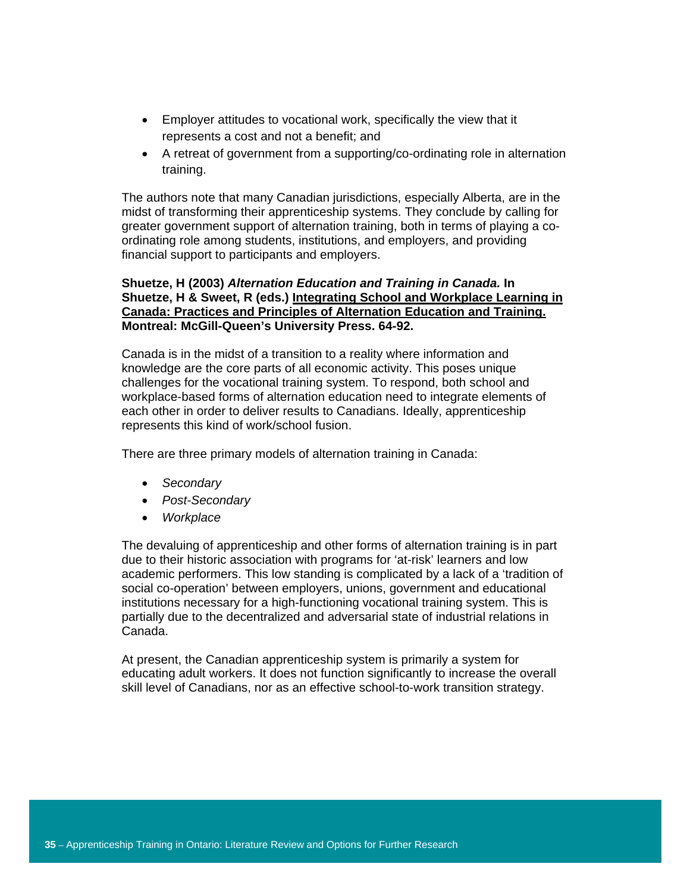- Employer attitudes to vocational work, specifically the view that it represents a cost and not a benefit; and
- A retreat of government from a supporting/co-ordinating role in alternation training.

The authors note that many Canadian jurisdictions, especially Alberta, are in the midst of transforming their apprenticeship systems. They conclude by calling for greater government support of alternation training, both in terms of playing a coordinating role among students, institutions, and employers, and providing financial support to participants and employers.

# **Shuetze, H (2003)** *Alternation Education and Training in Canada.* **In Shuetze, H & Sweet, R (eds.) Integrating School and Workplace Learning in Canada: Practices and Principles of Alternation Education and Training. Montreal: McGill-Queen's University Press. 64-92.**

Canada is in the midst of a transition to a reality where information and knowledge are the core parts of all economic activity. This poses unique challenges for the vocational training system. To respond, both school and workplace-based forms of alternation education need to integrate elements of each other in order to deliver results to Canadians. Ideally, apprenticeship represents this kind of work/school fusion.

There are three primary models of alternation training in Canada:

- *Secondary*
- *Post-Secondary*
- *Workplace*

The devaluing of apprenticeship and other forms of alternation training is in part due to their historic association with programs for 'at-risk' learners and low academic performers. This low standing is complicated by a lack of a 'tradition of social co-operation' between employers, unions, government and educational institutions necessary for a high-functioning vocational training system. This is partially due to the decentralized and adversarial state of industrial relations in Canada.

At present, the Canadian apprenticeship system is primarily a system for educating adult workers. It does not function significantly to increase the overall skill level of Canadians, nor as an effective school-to-work transition strategy.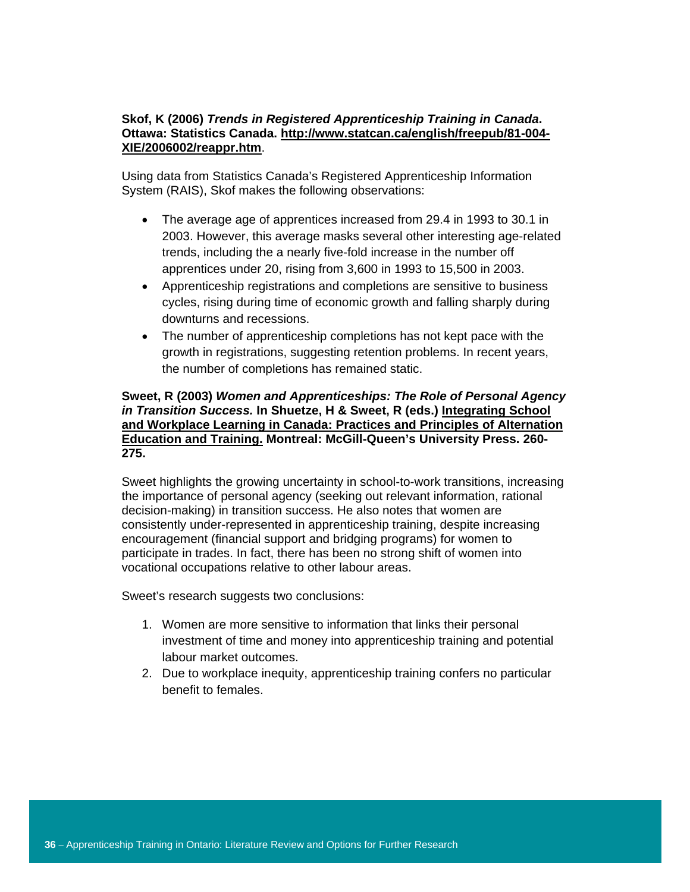## **Skof, K (2006)** *Trends in Registered Apprenticeship Training in Canada***. Ottawa: Statistics Canada. http://www.statcan.ca/english/freepub/81-004- XIE/2006002/reappr.htm**.

Using data from Statistics Canada's Registered Apprenticeship Information System (RAIS), Skof makes the following observations:

- The average age of apprentices increased from 29.4 in 1993 to 30.1 in 2003. However, this average masks several other interesting age-related trends, including the a nearly five-fold increase in the number off apprentices under 20, rising from 3,600 in 1993 to 15,500 in 2003.
- Apprenticeship registrations and completions are sensitive to business cycles, rising during time of economic growth and falling sharply during downturns and recessions.
- The number of apprenticeship completions has not kept pace with the growth in registrations, suggesting retention problems. In recent years, the number of completions has remained static.

## **Sweet, R (2003)** *Women and Apprenticeships: The Role of Personal Agency in Transition Success.* **In Shuetze, H & Sweet, R (eds.) Integrating School and Workplace Learning in Canada: Practices and Principles of Alternation Education and Training. Montreal: McGill-Queen's University Press. 260- 275.**

Sweet highlights the growing uncertainty in school-to-work transitions, increasing the importance of personal agency (seeking out relevant information, rational decision-making) in transition success. He also notes that women are consistently under-represented in apprenticeship training, despite increasing encouragement (financial support and bridging programs) for women to participate in trades. In fact, there has been no strong shift of women into vocational occupations relative to other labour areas.

Sweet's research suggests two conclusions:

- 1. Women are more sensitive to information that links their personal investment of time and money into apprenticeship training and potential labour market outcomes.
- 2. Due to workplace inequity, apprenticeship training confers no particular benefit to females.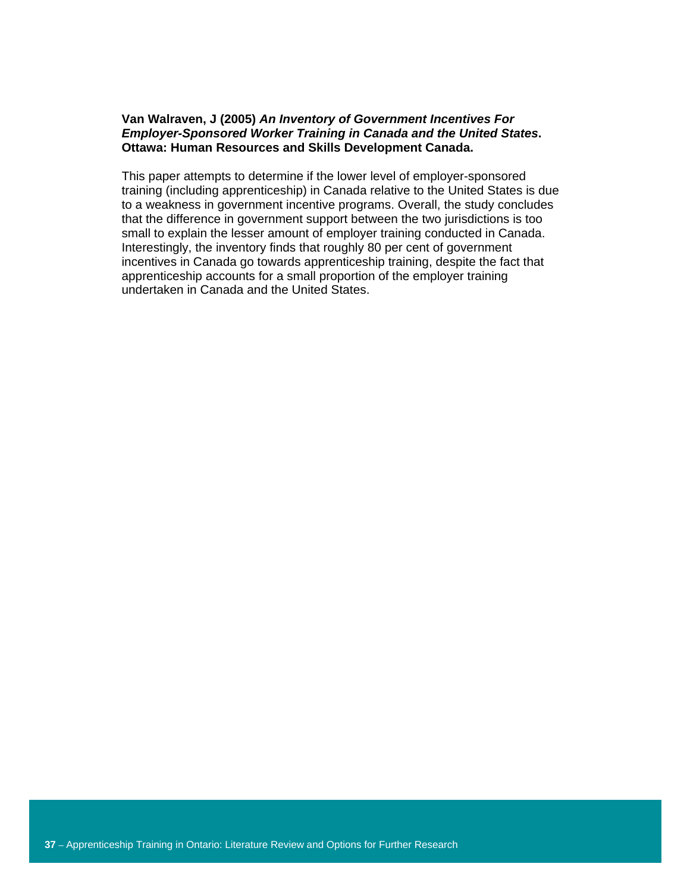## **Van Walraven, J (2005)** *An Inventory of Government Incentives For Employer-Sponsored Worker Training in Canada and the United States***. Ottawa: Human Resources and Skills Development Canada.**

This paper attempts to determine if the lower level of employer-sponsored training (including apprenticeship) in Canada relative to the United States is due to a weakness in government incentive programs. Overall, the study concludes that the difference in government support between the two jurisdictions is too small to explain the lesser amount of employer training conducted in Canada. Interestingly, the inventory finds that roughly 80 per cent of government incentives in Canada go towards apprenticeship training, despite the fact that apprenticeship accounts for a small proportion of the employer training undertaken in Canada and the United States.